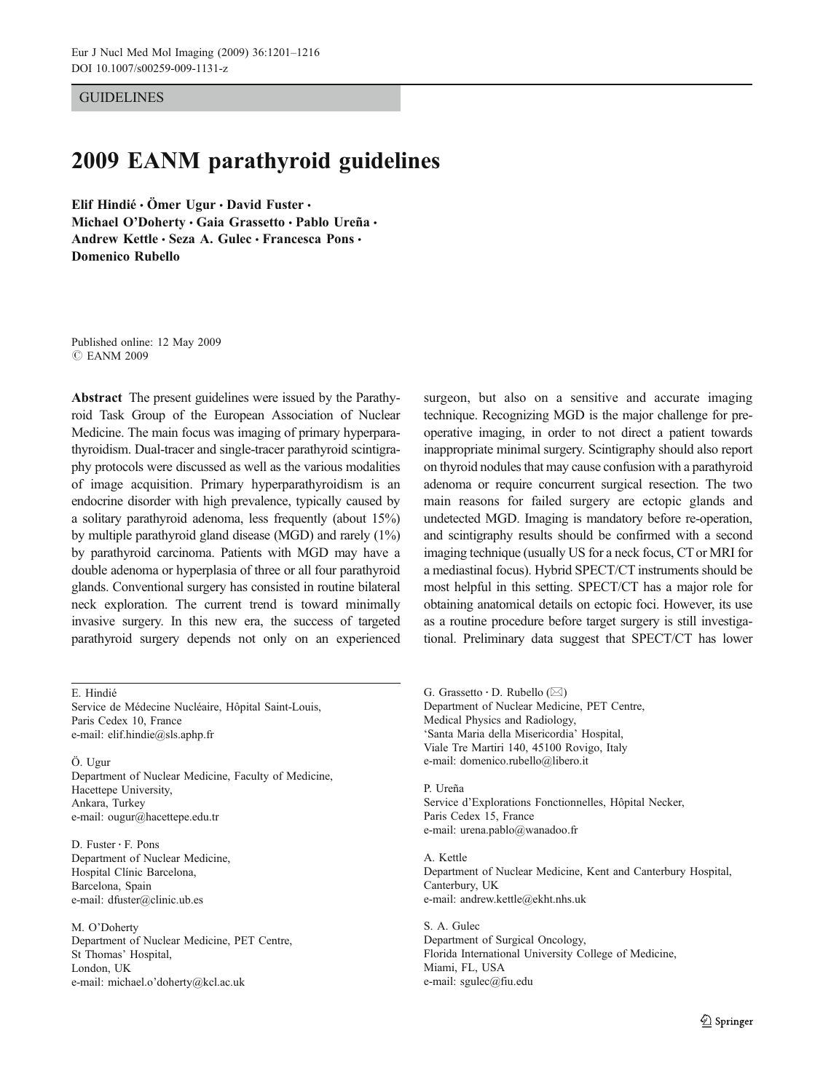**GUIDELINES** 

# 2009 EANM parathyroid guidelines

Elif Hindié · Ömer Ugur · David Fuster · Michael O'Doherty · Gaia Grassetto · Pablo Ureña · Andrew Kettle · Seza A. Gulec · Francesca Pons · Domenico Rubello

Published online: 12 May 2009 *#* EANM 2009

Abstract The present guidelines were issued by the Parathyroid Task Group of the European Association of Nuclear Medicine. The main focus was imaging of primary hyperparathyroidism. Dual-tracer and single-tracer parathyroid scintigraphy protocols were discussed as well as the various modalities of image acquisition. Primary hyperparathyroidism is an endocrine disorder with high prevalence, typically caused by a solitary parathyroid adenoma, less frequently (about 15%) by multiple parathyroid gland disease (MGD) and rarely (1%) by parathyroid carcinoma. Patients with MGD may have a double adenoma or hyperplasia of three or all four parathyroid glands. Conventional surgery has consisted in routine bilateral neck exploration. The current trend is toward minimally invasive surgery. In this new era, the success of targeted parathyroid surgery depends not only on an experienced

E. Hindié

Service de Médecine Nucléaire, Hôpital Saint-Louis, Paris Cedex 10, France e-mail: elif.hindie@sls.aphp.fr

Ö. Ugur Department of Nuclear Medicine, Faculty of Medicine, Hacettepe University, Ankara, Turkey e-mail: ougur@hacettepe.edu.tr

D. Fuster : F. Pons Department of Nuclear Medicine, Hospital Clínic Barcelona, Barcelona, Spain e-mail: dfuster@clinic.ub.es

M. O'Doherty Department of Nuclear Medicine, PET Centre, St Thomas' Hospital, London, UK e-mail: michael.o'doherty@kcl.ac.uk

surgeon, but also on a sensitive and accurate imaging technique. Recognizing MGD is the major challenge for preoperative imaging, in order to not direct a patient towards inappropriate minimal surgery. Scintigraphy should also report on thyroid nodules that may cause confusion with a parathyroid adenoma or require concurrent surgical resection. The two main reasons for failed surgery are ectopic glands and undetected MGD. Imaging is mandatory before re-operation, and scintigraphy results should be confirmed with a second imaging technique (usually US for a neck focus, CT or MRI for a mediastinal focus). Hybrid SPECT/CT instruments should be most helpful in this setting. SPECT/CT has a major role for obtaining anatomical details on ectopic foci. However, its use as a routine procedure before target surgery is still investigational. Preliminary data suggest that SPECT/CT has lower

G. Grassetto · D. Rubello ( $\boxtimes$ ) Department of Nuclear Medicine, PET Centre, Medical Physics and Radiology, 'Santa Maria della Misericordia' Hospital, Viale Tre Martiri 140, 45100 Rovigo, Italy e-mail: domenico.rubello@libero.it

P. Ureña Service d'Explorations Fonctionnelles, Hôpital Necker, Paris Cedex 15, France e-mail: urena.pablo@wanadoo.fr

A. Kettle Department of Nuclear Medicine, Kent and Canterbury Hospital, Canterbury, UK e-mail: andrew.kettle@ekht.nhs.uk

S. A. Gulec Department of Surgical Oncology, Florida International University College of Medicine, Miami, FL, USA e-mail: sgulec@fiu.edu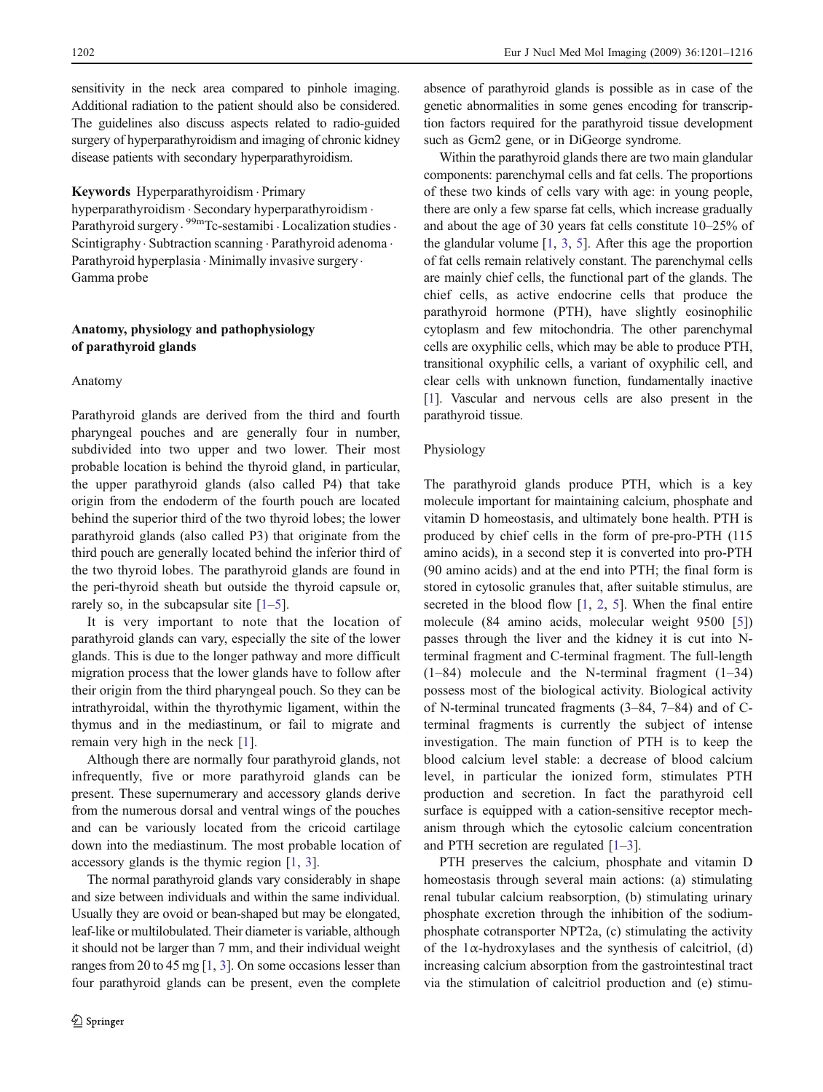sensitivity in the neck area compared to pinhole imaging. Additional radiation to the patient should also be considered. The guidelines also discuss aspects related to radio-guided surgery of hyperparathyroidism and imaging of chronic kidney disease patients with secondary hyperparathyroidism.

Keywords Hyperparathyroidism . Primary

hyperparathyroidism . Secondary hyperparathyroidism . Parathyroid surgery.  $^{99m}$ Tc-sestamibi  $\cdot$  Localization studies. Scintigraphy · Subtraction scanning · Parathyroid adenoma · Parathyroid hyperplasia . Minimally invasive surgery. Gamma probe

# Anatomy, physiology and pathophysiology of parathyroid glands

### Anatomy

Parathyroid glands are derived from the third and fourth pharyngeal pouches and are generally four in number, subdivided into two upper and two lower. Their most probable location is behind the thyroid gland, in particular, the upper parathyroid glands (also called P4) that take origin from the endoderm of the fourth pouch are located behind the superior third of the two thyroid lobes; the lower parathyroid glands (also called P3) that originate from the third pouch are generally located behind the inferior third of the two thyroid lobes. The parathyroid glands are found in the peri-thyroid sheath but outside the thyroid capsule or, rarely so, in the subcapsular site  $[1-5]$  $[1-5]$  $[1-5]$  $[1-5]$ .

It is very important to note that the location of parathyroid glands can vary, especially the site of the lower glands. This is due to the longer pathway and more difficult migration process that the lower glands have to follow after their origin from the third pharyngeal pouch. So they can be intrathyroidal, within the thyrothymic ligament, within the thymus and in the mediastinum, or fail to migrate and remain very high in the neck [[1\]](#page-12-0).

Although there are normally four parathyroid glands, not infrequently, five or more parathyroid glands can be present. These supernumerary and accessory glands derive from the numerous dorsal and ventral wings of the pouches and can be variously located from the cricoid cartilage down into the mediastinum. The most probable location of accessory glands is the thymic region [\[1](#page-12-0), [3\]](#page-13-0).

The normal parathyroid glands vary considerably in shape and size between individuals and within the same individual. Usually they are ovoid or bean-shaped but may be elongated, leaf-like or multilobulated. Their diameter is variable, although it should not be larger than 7 mm, and their individual weight ranges from 20 to 45 mg  $[1, 3]$  $[1, 3]$  $[1, 3]$ . On some occasions lesser than four parathyroid glands can be present, even the complete absence of parathyroid glands is possible as in case of the genetic abnormalities in some genes encoding for transcription factors required for the parathyroid tissue development such as Gcm2 gene, or in DiGeorge syndrome.

Within the parathyroid glands there are two main glandular components: parenchymal cells and fat cells. The proportions of these two kinds of cells vary with age: in young people, there are only a few sparse fat cells, which increase gradually and about the age of 30 years fat cells constitute 10–25% of the glandular volume [[1,](#page-12-0) [3](#page-13-0), [5](#page-13-0)]. After this age the proportion of fat cells remain relatively constant. The parenchymal cells are mainly chief cells, the functional part of the glands. The chief cells, as active endocrine cells that produce the parathyroid hormone (PTH), have slightly eosinophilic cytoplasm and few mitochondria. The other parenchymal cells are oxyphilic cells, which may be able to produce PTH, transitional oxyphilic cells, a variant of oxyphilic cell, and clear cells with unknown function, fundamentally inactive [\[1\]](#page-12-0). Vascular and nervous cells are also present in the parathyroid tissue.

# Physiology

The parathyroid glands produce PTH, which is a key molecule important for maintaining calcium, phosphate and vitamin D homeostasis, and ultimately bone health. PTH is produced by chief cells in the form of pre-pro-PTH (115 amino acids), in a second step it is converted into pro-PTH (90 amino acids) and at the end into PTH; the final form is stored in cytosolic granules that, after suitable stimulus, are secreted in the blood flow [\[1](#page-12-0), [2](#page-13-0), [5](#page-13-0)]. When the final entire molecule (84 amino acids, molecular weight 9500 [\[5](#page-13-0)]) passes through the liver and the kidney it is cut into Nterminal fragment and C-terminal fragment. The full-length  $(1-84)$  molecule and the N-terminal fragment  $(1-34)$ possess most of the biological activity. Biological activity of N-terminal truncated fragments (3–84, 7–84) and of Cterminal fragments is currently the subject of intense investigation. The main function of PTH is to keep the blood calcium level stable: a decrease of blood calcium level, in particular the ionized form, stimulates PTH production and secretion. In fact the parathyroid cell surface is equipped with a cation-sensitive receptor mechanism through which the cytosolic calcium concentration and PTH secretion are regulated  $[1-3]$  $[1-3]$  $[1-3]$  $[1-3]$ .

PTH preserves the calcium, phosphate and vitamin D homeostasis through several main actions: (a) stimulating renal tubular calcium reabsorption, (b) stimulating urinary phosphate excretion through the inhibition of the sodiumphosphate cotransporter NPT2a, (c) stimulating the activity of the  $1\alpha$ -hydroxylases and the synthesis of calcitriol, (d) increasing calcium absorption from the gastrointestinal tract via the stimulation of calcitriol production and (e) stimu-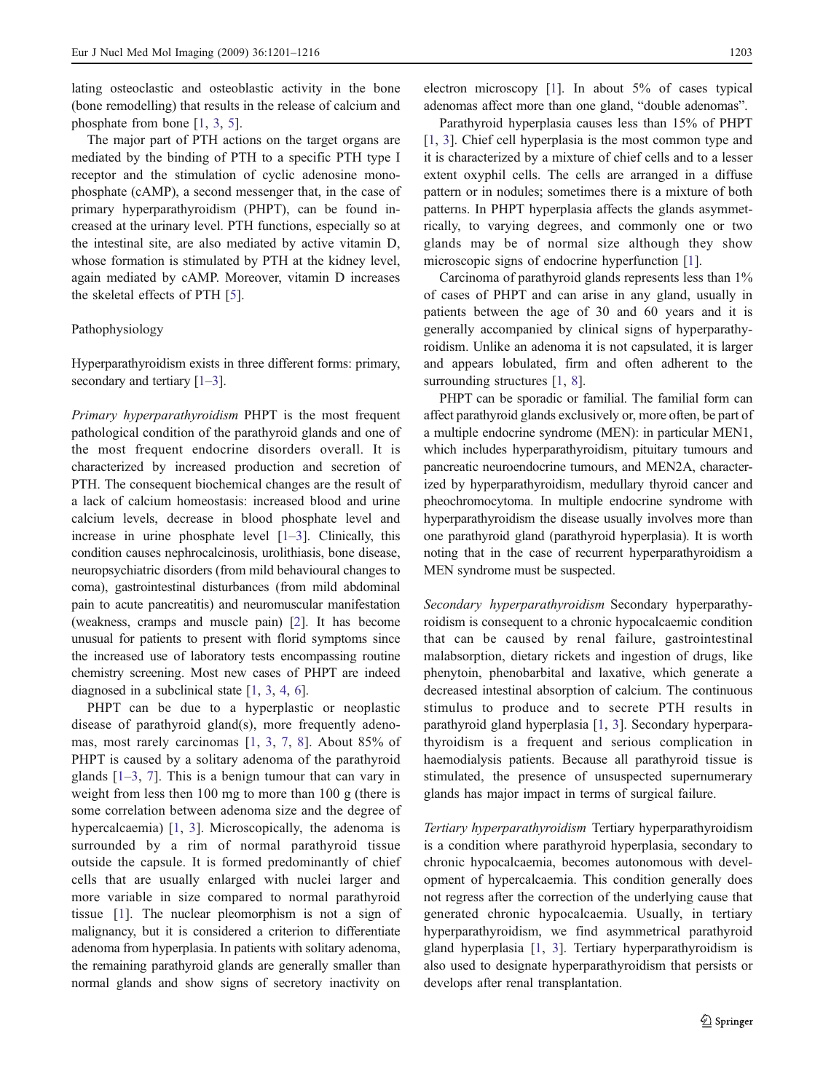lating osteoclastic and osteoblastic activity in the bone (bone remodelling) that results in the release of calcium and phosphate from bone [\[1](#page-12-0), [3](#page-13-0), [5\]](#page-13-0).

The major part of PTH actions on the target organs are mediated by the binding of PTH to a specific PTH type I receptor and the stimulation of cyclic adenosine monophosphate (cAMP), a second messenger that, in the case of primary hyperparathyroidism (PHPT), can be found increased at the urinary level. PTH functions, especially so at the intestinal site, are also mediated by active vitamin D, whose formation is stimulated by PTH at the kidney level, again mediated by cAMP. Moreover, vitamin D increases the skeletal effects of PTH [\[5](#page-13-0)].

### Pathophysiology

Hyperparathyroidism exists in three different forms: primary, secondary and tertiary [[1](#page-12-0)–[3](#page-13-0)].

Primary hyperparathyroidism PHPT is the most frequent pathological condition of the parathyroid glands and one of the most frequent endocrine disorders overall. It is characterized by increased production and secretion of PTH. The consequent biochemical changes are the result of a lack of calcium homeostasis: increased blood and urine calcium levels, decrease in blood phosphate level and increase in urine phosphate level [\[1](#page-12-0)–[3](#page-13-0)]. Clinically, this condition causes nephrocalcinosis, urolithiasis, bone disease, neuropsychiatric disorders (from mild behavioural changes to coma), gastrointestinal disturbances (from mild abdominal pain to acute pancreatitis) and neuromuscular manifestation (weakness, cramps and muscle pain) [[2\]](#page-13-0). It has become unusual for patients to present with florid symptoms since the increased use of laboratory tests encompassing routine chemistry screening. Most new cases of PHPT are indeed diagnosed in a subclinical state [[1](#page-12-0), [3,](#page-13-0) [4,](#page-13-0) [6](#page-13-0)].

PHPT can be due to a hyperplastic or neoplastic disease of parathyroid gland(s), more frequently adenomas, most rarely carcinomas [[1,](#page-12-0) [3](#page-13-0), [7,](#page-13-0) [8](#page-13-0)]. About 85% of PHPT is caused by a solitary adenoma of the parathyroid glands  $[1-3, 7]$  $[1-3, 7]$  $[1-3, 7]$  $[1-3, 7]$  $[1-3, 7]$  $[1-3, 7]$  $[1-3, 7]$ . This is a benign tumour that can vary in weight from less then 100 mg to more than 100 g (there is some correlation between adenoma size and the degree of hypercalcaemia) [\[1](#page-12-0), [3\]](#page-13-0). Microscopically, the adenoma is surrounded by a rim of normal parathyroid tissue outside the capsule. It is formed predominantly of chief cells that are usually enlarged with nuclei larger and more variable in size compared to normal parathyroid tissue [[1\]](#page-12-0). The nuclear pleomorphism is not a sign of malignancy, but it is considered a criterion to differentiate adenoma from hyperplasia. In patients with solitary adenoma, the remaining parathyroid glands are generally smaller than normal glands and show signs of secretory inactivity on

electron microscopy [\[1](#page-12-0)]. In about 5% of cases typical adenomas affect more than one gland, "double adenomas".

Parathyroid hyperplasia causes less than 15% of PHPT [[1](#page-12-0), [3\]](#page-13-0). Chief cell hyperplasia is the most common type and it is characterized by a mixture of chief cells and to a lesser extent oxyphil cells. The cells are arranged in a diffuse pattern or in nodules; sometimes there is a mixture of both patterns. In PHPT hyperplasia affects the glands asymmetrically, to varying degrees, and commonly one or two glands may be of normal size although they show microscopic signs of endocrine hyperfunction [[1\]](#page-12-0).

Carcinoma of parathyroid glands represents less than 1% of cases of PHPT and can arise in any gland, usually in patients between the age of 30 and 60 years and it is generally accompanied by clinical signs of hyperparathyroidism. Unlike an adenoma it is not capsulated, it is larger and appears lobulated, firm and often adherent to the surrounding structures [[1,](#page-12-0) [8\]](#page-13-0).

PHPT can be sporadic or familial. The familial form can affect parathyroid glands exclusively or, more often, be part of a multiple endocrine syndrome (MEN): in particular MEN1, which includes hyperparathyroidism, pituitary tumours and pancreatic neuroendocrine tumours, and MEN2A, characterized by hyperparathyroidism, medullary thyroid cancer and pheochromocytoma. In multiple endocrine syndrome with hyperparathyroidism the disease usually involves more than one parathyroid gland (parathyroid hyperplasia). It is worth noting that in the case of recurrent hyperparathyroidism a MEN syndrome must be suspected.

Secondary hyperparathyroidism Secondary hyperparathyroidism is consequent to a chronic hypocalcaemic condition that can be caused by renal failure, gastrointestinal malabsorption, dietary rickets and ingestion of drugs, like phenytoin, phenobarbital and laxative, which generate a decreased intestinal absorption of calcium. The continuous stimulus to produce and to secrete PTH results in parathyroid gland hyperplasia [[1,](#page-12-0) [3](#page-13-0)]. Secondary hyperparathyroidism is a frequent and serious complication in haemodialysis patients. Because all parathyroid tissue is stimulated, the presence of unsuspected supernumerary glands has major impact in terms of surgical failure.

Tertiary hyperparathyroidism Tertiary hyperparathyroidism is a condition where parathyroid hyperplasia, secondary to chronic hypocalcaemia, becomes autonomous with development of hypercalcaemia. This condition generally does not regress after the correction of the underlying cause that generated chronic hypocalcaemia. Usually, in tertiary hyperparathyroidism, we find asymmetrical parathyroid gland hyperplasia [\[1](#page-12-0), [3\]](#page-13-0). Tertiary hyperparathyroidism is also used to designate hyperparathyroidism that persists or develops after renal transplantation.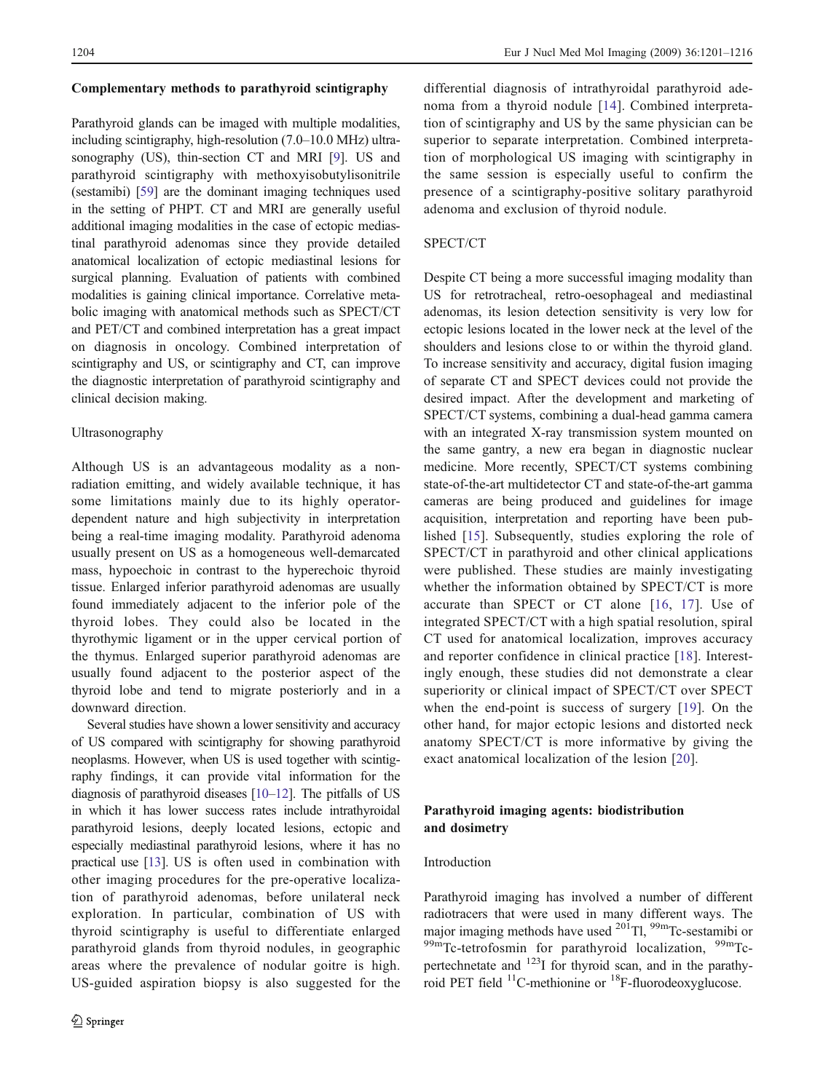# Complementary methods to parathyroid scintigraphy

Parathyroid glands can be imaged with multiple modalities, including scintigraphy, high-resolution (7.0–10.0 MHz) ultrasonography (US), thin-section CT and MRI [\[9](#page-13-0)]. US and parathyroid scintigraphy with methoxyisobutylisonitrile (sestamibi) [\[59](#page-14-0)] are the dominant imaging techniques used in the setting of PHPT. CT and MRI are generally useful additional imaging modalities in the case of ectopic mediastinal parathyroid adenomas since they provide detailed anatomical localization of ectopic mediastinal lesions for surgical planning. Evaluation of patients with combined modalities is gaining clinical importance. Correlative metabolic imaging with anatomical methods such as SPECT/CT and PET/CT and combined interpretation has a great impact on diagnosis in oncology. Combined interpretation of scintigraphy and US, or scintigraphy and CT, can improve the diagnostic interpretation of parathyroid scintigraphy and clinical decision making.

### Ultrasonography

Although US is an advantageous modality as a nonradiation emitting, and widely available technique, it has some limitations mainly due to its highly operatordependent nature and high subjectivity in interpretation being a real-time imaging modality. Parathyroid adenoma usually present on US as a homogeneous well-demarcated mass, hypoechoic in contrast to the hyperechoic thyroid tissue. Enlarged inferior parathyroid adenomas are usually found immediately adjacent to the inferior pole of the thyroid lobes. They could also be located in the thyrothymic ligament or in the upper cervical portion of the thymus. Enlarged superior parathyroid adenomas are usually found adjacent to the posterior aspect of the thyroid lobe and tend to migrate posteriorly and in a downward direction.

Several studies have shown a lower sensitivity and accuracy of US compared with scintigraphy for showing parathyroid neoplasms. However, when US is used together with scintigraphy findings, it can provide vital information for the diagnosis of parathyroid diseases [\[10](#page-13-0)–[12\]](#page-13-0). The pitfalls of US in which it has lower success rates include intrathyroidal parathyroid lesions, deeply located lesions, ectopic and especially mediastinal parathyroid lesions, where it has no practical use [\[13\]](#page-13-0). US is often used in combination with other imaging procedures for the pre-operative localization of parathyroid adenomas, before unilateral neck exploration. In particular, combination of US with thyroid scintigraphy is useful to differentiate enlarged parathyroid glands from thyroid nodules, in geographic areas where the prevalence of nodular goitre is high. US-guided aspiration biopsy is also suggested for the

differential diagnosis of intrathyroidal parathyroid adenoma from a thyroid nodule [\[14\]](#page-13-0). Combined interpretation of scintigraphy and US by the same physician can be superior to separate interpretation. Combined interpretation of morphological US imaging with scintigraphy in the same session is especially useful to confirm the presence of a scintigraphy-positive solitary parathyroid adenoma and exclusion of thyroid nodule.

### SPECT/CT

Despite CT being a more successful imaging modality than US for retrotracheal, retro-oesophageal and mediastinal adenomas, its lesion detection sensitivity is very low for ectopic lesions located in the lower neck at the level of the shoulders and lesions close to or within the thyroid gland. To increase sensitivity and accuracy, digital fusion imaging of separate CT and SPECT devices could not provide the desired impact. After the development and marketing of SPECT/CT systems, combining a dual-head gamma camera with an integrated X-ray transmission system mounted on the same gantry, a new era began in diagnostic nuclear medicine. More recently, SPECT/CT systems combining state-of-the-art multidetector CT and state-of-the-art gamma cameras are being produced and guidelines for image acquisition, interpretation and reporting have been published [[15\]](#page-13-0). Subsequently, studies exploring the role of SPECT/CT in parathyroid and other clinical applications were published. These studies are mainly investigating whether the information obtained by SPECT/CT is more accurate than SPECT or CT alone [[16](#page-13-0), [17](#page-13-0)]. Use of integrated SPECT/CT with a high spatial resolution, spiral CT used for anatomical localization, improves accuracy and reporter confidence in clinical practice [[18\]](#page-13-0). Interestingly enough, these studies did not demonstrate a clear superiority or clinical impact of SPECT/CT over SPECT when the end-point is success of surgery [\[19](#page-13-0)]. On the other hand, for major ectopic lesions and distorted neck anatomy SPECT/CT is more informative by giving the exact anatomical localization of the lesion [\[20\]](#page-13-0).

# Parathyroid imaging agents: biodistribution and dosimetry

### Introduction

Parathyroid imaging has involved a number of different radiotracers that were used in many different ways. The major imaging methods have used  $^{201}$ Tl,  $^{99m}$ Tc-sestamibi or 99mTc-tetrofosmin for parathyroid localization, 99mTcpertechnetate and 123I for thyroid scan, and in the parathyroid PET field  $^{11}$ C-methionine or  $^{18}$ F-fluorodeoxyglucose.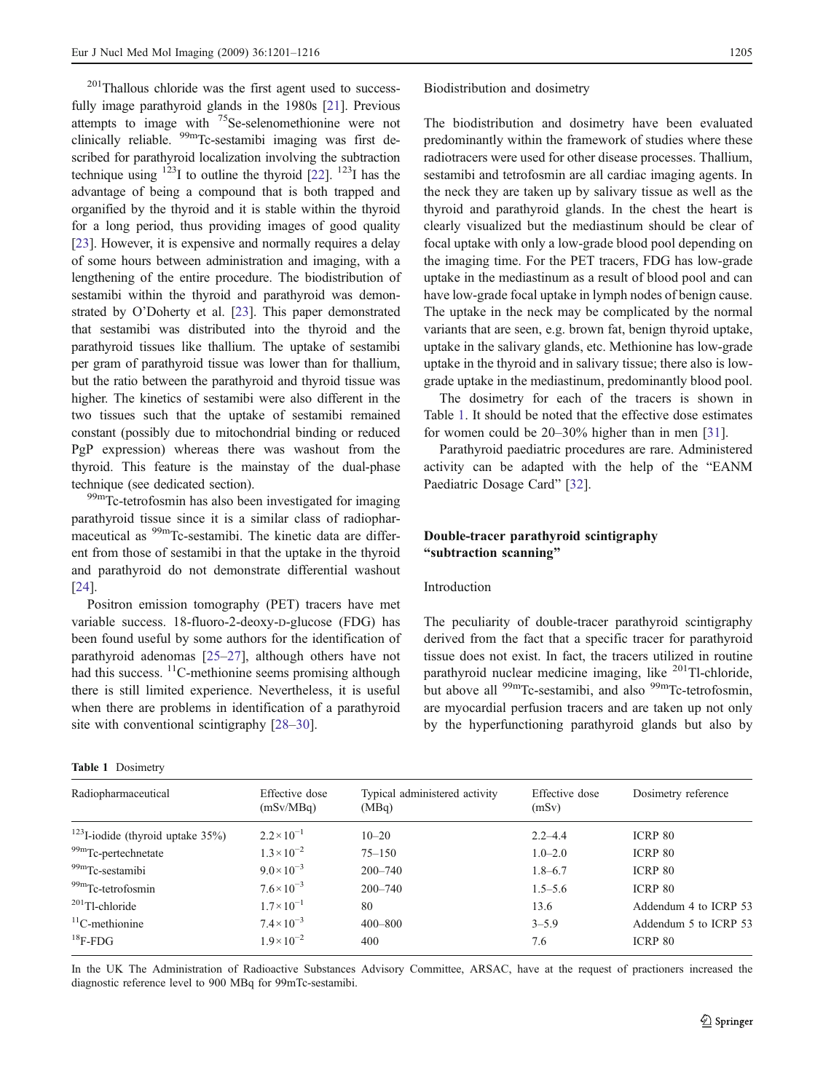<sup>201</sup>Thallous chloride was the first agent used to successfully image parathyroid glands in the 1980s [[21](#page-13-0)]. Previous attempts to image with  $^{75}$ Se-selenomethionine were not clinically reliable. <sup>99m</sup>Tc-sestamibi imaging was first described for parathyroid localization involving the subtraction technique using  $123$ I to outline the thyroid [\[22](#page-13-0)].  $123$ I has the advantage of being a compound that is both trapped and organified by the thyroid and it is stable within the thyroid for a long period, thus providing images of good quality [[23\]](#page-13-0). However, it is expensive and normally requires a delay of some hours between administration and imaging, with a lengthening of the entire procedure. The biodistribution of sestamibi within the thyroid and parathyroid was demonstrated by O'Doherty et al. [\[23](#page-13-0)]. This paper demonstrated that sestamibi was distributed into the thyroid and the parathyroid tissues like thallium. The uptake of sestamibi per gram of parathyroid tissue was lower than for thallium, but the ratio between the parathyroid and thyroid tissue was higher. The kinetics of sestamibi were also different in the two tissues such that the uptake of sestamibi remained constant (possibly due to mitochondrial binding or reduced PgP expression) whereas there was washout from the thyroid. This feature is the mainstay of the dual-phase technique (see dedicated section).

<sup>99m</sup>Tc-tetrofosmin has also been investigated for imaging parathyroid tissue since it is a similar class of radiopharmaceutical as <sup>99m</sup>Tc-sestamibi. The kinetic data are different from those of sestamibi in that the uptake in the thyroid and parathyroid do not demonstrate differential washout [[24\]](#page-13-0).

Positron emission tomography (PET) tracers have met variable success. 18-fluoro-2-deoxy-D-glucose (FDG) has been found useful by some authors for the identification of parathyroid adenomas [[25](#page-13-0)–[27\]](#page-13-0), although others have not had this success.  ${}^{11}C$ -methionine seems promising although there is still limited experience. Nevertheless, it is useful when there are problems in identification of a parathyroid site with conventional scintigraphy [\[28](#page-13-0)–[30](#page-13-0)].

| <b>Table 1</b> Dosimetry |
|--------------------------|
|                          |

Biodistribution and dosimetry

The biodistribution and dosimetry have been evaluated predominantly within the framework of studies where these radiotracers were used for other disease processes. Thallium, sestamibi and tetrofosmin are all cardiac imaging agents. In the neck they are taken up by salivary tissue as well as the thyroid and parathyroid glands. In the chest the heart is clearly visualized but the mediastinum should be clear of focal uptake with only a low-grade blood pool depending on the imaging time. For the PET tracers, FDG has low-grade uptake in the mediastinum as a result of blood pool and can have low-grade focal uptake in lymph nodes of benign cause. The uptake in the neck may be complicated by the normal variants that are seen, e.g. brown fat, benign thyroid uptake, uptake in the salivary glands, etc. Methionine has low-grade uptake in the thyroid and in salivary tissue; there also is lowgrade uptake in the mediastinum, predominantly blood pool.

The dosimetry for each of the tracers is shown in Table 1. It should be noted that the effective dose estimates for women could be 20–30% higher than in men [[31\]](#page-13-0).

Parathyroid paediatric procedures are rare. Administered activity can be adapted with the help of the "EANM Paediatric Dosage Card" [[32\]](#page-13-0).

# Double-tracer parathyroid scintigraphy "subtraction scanning"

## Introduction

The peculiarity of double-tracer parathyroid scintigraphy derived from the fact that a specific tracer for parathyroid tissue does not exist. In fact, the tracers utilized in routine parathyroid nuclear medicine imaging, like  $^{201}$ Tl-chloride, but above all <sup>99m</sup>Tc-sestamibi, and also <sup>99m</sup>Tc-tetrofosmin, are myocardial perfusion tracers and are taken up not only by the hyperfunctioning parathyroid glands but also by

| Radiopharmaceutical                 | Effective dose<br>(mSv/MBq) | Typical administered activity<br>(MBq) | Effective dose<br>(mSv) | Dosimetry reference   |
|-------------------------------------|-----------------------------|----------------------------------------|-------------------------|-----------------------|
| $123$ I-iodide (thyroid uptake 35%) | $2.2 \times 10^{-1}$        | $10 - 20$                              | $2.2 - 4.4$             | ICRP 80               |
| 99mTc-pertechnetate                 | $1.3 \times 10^{-2}$        | $75 - 150$                             | $1.0 - 2.0$             | ICRP 80               |
| 99mTc-sestamibi                     | $9.0 \times 10^{-3}$        | $200 - 740$                            | $1.8 - 6.7$             | ICRP 80               |
| 99mTc-tetrofosmin                   | $7.6 \times 10^{-3}$        | $200 - 740$                            | $1.5 - 5.6$             | ICRP 80               |
| <sup>201</sup> Tl-chloride          | $1.7 \times 10^{-1}$        | 80                                     | 13.6                    | Addendum 4 to ICRP 53 |
| ${}^{11}$ C-methionine              | $7.4 \times 10^{-3}$        | $400 - 800$                            | $3 - 5.9$               | Addendum 5 to ICRP 53 |
| $^{18}$ F-FDG                       | $1.9 \times 10^{-2}$        | 400                                    | 7.6                     | ICRP 80               |

In the UK The Administration of Radioactive Substances Advisory Committee, ARSAC, have at the request of practioners increased the diagnostic reference level to 900 MBq for 99mTc-sestamibi.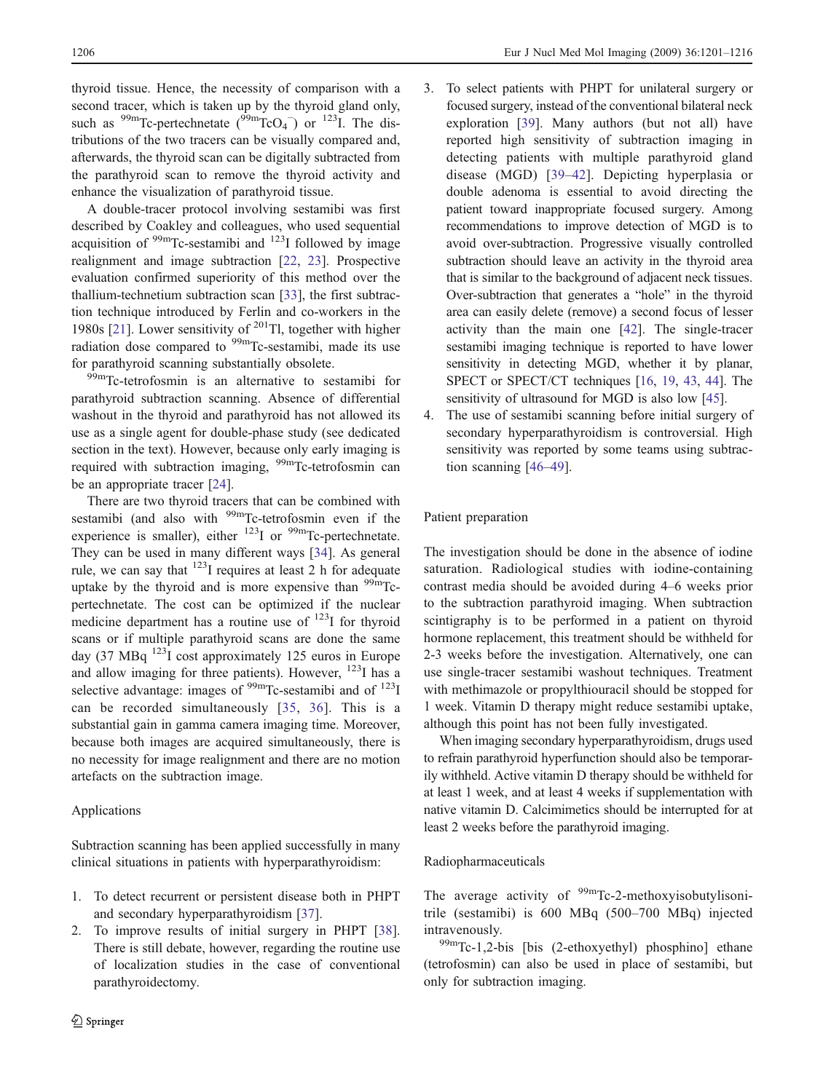thyroid tissue. Hence, the necessity of comparison with a second tracer, which is taken up by the thyroid gland only, such as  $^{99m}$ Tc-pertechnetate  $(^{99m}$ TcO<sub>4</sub><sup>-</sup>) or <sup>123</sup>I. The distributions of the two tracers can be visually compared and, afterwards, the thyroid scan can be digitally subtracted from the parathyroid scan to remove the thyroid activity and enhance the visualization of parathyroid tissue.

A double-tracer protocol involving sestamibi was first described by Coakley and colleagues, who used sequential acquisition of  $\frac{99m}{L}$ c-sestamibi and  $\frac{123}{L}$  followed by image realignment and image subtraction [\[22](#page-13-0), [23\]](#page-13-0). Prospective evaluation confirmed superiority of this method over the thallium-technetium subtraction scan [\[33](#page-13-0)], the first subtraction technique introduced by Ferlin and co-workers in the 1980s [[21\]](#page-13-0). Lower sensitivity of  $^{201}$ Tl, together with higher radiation dose compared to <sup>99m</sup>Tc-sestamibi, made its use for parathyroid scanning substantially obsolete.

99mTc-tetrofosmin is an alternative to sestamibi for parathyroid subtraction scanning. Absence of differential washout in the thyroid and parathyroid has not allowed its use as a single agent for double-phase study (see dedicated section in the text). However, because only early imaging is required with subtraction imaging, <sup>99m</sup>Tc-tetrofosmin can be an appropriate tracer [[24\]](#page-13-0).

There are two thyroid tracers that can be combined with sestamibi (and also with  $99m$ Tc-tetrofosmin even if the experience is smaller), either  $^{123}$ I or  $^{99m}$ Tc-pertechnetate. They can be used in many different ways [\[34](#page-13-0)]. As general rule, we can say that  $123$ I requires at least 2 h for adequate uptake by the thyroid and is more expensive than  $\rm{^{99m}Tc}$ pertechnetate. The cost can be optimized if the nuclear medicine department has a routine use of  $^{123}$ I for thyroid scans or if multiple parathyroid scans are done the same day (37 MBq  $^{123}$ I cost approximately 125 euros in Europe and allow imaging for three patients). However,  $^{123}$ I has a selective advantage: images of  $\frac{99 \text{m}}{2}$ Tc-sestamibi and of  $\frac{123 \text{m}}{2}$ can be recorded simultaneously [\[35,](#page-13-0) [36](#page-13-0)]. This is a substantial gain in gamma camera imaging time. Moreover, because both images are acquired simultaneously, there is no necessity for image realignment and there are no motion artefacts on the subtraction image.

# Applications

Subtraction scanning has been applied successfully in many clinical situations in patients with hyperparathyroidism:

- 1. To detect recurrent or persistent disease both in PHPT and secondary hyperparathyroidism [[37\]](#page-13-0).
- 2. To improve results of initial surgery in PHPT [\[38](#page-13-0)]. There is still debate, however, regarding the routine use of localization studies in the case of conventional parathyroidectomy.
- 3. To select patients with PHPT for unilateral surgery or focused surgery, instead of the conventional bilateral neck exploration [\[39](#page-13-0)]. Many authors (but not all) have reported high sensitivity of subtraction imaging in detecting patients with multiple parathyroid gland disease (MGD) [[39](#page-13-0)–[42](#page-14-0)]. Depicting hyperplasia or double adenoma is essential to avoid directing the patient toward inappropriate focused surgery. Among recommendations to improve detection of MGD is to avoid over-subtraction. Progressive visually controlled subtraction should leave an activity in the thyroid area that is similar to the background of adjacent neck tissues. Over-subtraction that generates a "hole" in the thyroid area can easily delete (remove) a second focus of lesser activity than the main one [[42\]](#page-14-0). The single-tracer sestamibi imaging technique is reported to have lower sensitivity in detecting MGD, whether it by planar, SPECT or SPECT/CT techniques [\[16,](#page-13-0) [19,](#page-13-0) [43,](#page-14-0) [44\]](#page-14-0). The sensitivity of ultrasound for MGD is also low [\[45](#page-14-0)].
- 4. The use of sestamibi scanning before initial surgery of secondary hyperparathyroidism is controversial. High sensitivity was reported by some teams using subtraction scanning [[46](#page-14-0)–[49\]](#page-14-0).

# Patient preparation

The investigation should be done in the absence of iodine saturation. Radiological studies with iodine-containing contrast media should be avoided during 4–6 weeks prior to the subtraction parathyroid imaging. When subtraction scintigraphy is to be performed in a patient on thyroid hormone replacement, this treatment should be withheld for 2-3 weeks before the investigation. Alternatively, one can use single-tracer sestamibi washout techniques. Treatment with methimazole or propylthiouracil should be stopped for 1 week. Vitamin D therapy might reduce sestamibi uptake, although this point has not been fully investigated.

When imaging secondary hyperparathyroidism, drugs used to refrain parathyroid hyperfunction should also be temporarily withheld. Active vitamin D therapy should be withheld for at least 1 week, and at least 4 weeks if supplementation with native vitamin D. Calcimimetics should be interrupted for at least 2 weeks before the parathyroid imaging.

### Radiopharmaceuticals

The average activity of  $99m$ Tc-2-methoxyisobutylisonitrile (sestamibi) is 600 MBq (500–700 MBq) injected intravenously.

<sup>99m</sup>Tc-1,2-bis [bis (2-ethoxyethyl) phosphino] ethane (tetrofosmin) can also be used in place of sestamibi, but only for subtraction imaging.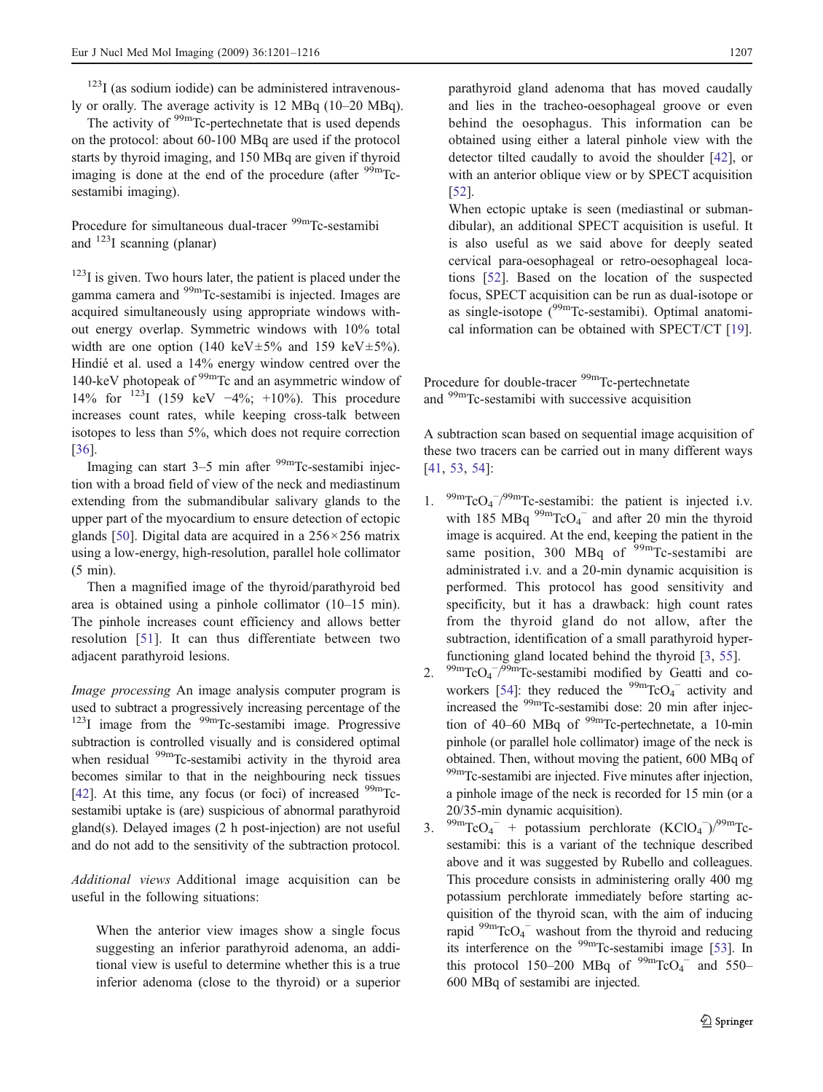$123$ I (as sodium iodide) can be administered intravenously or orally. The average activity is 12 MBq (10–20 MBq).

The activity of <sup>99m</sup>Tc-pertechnetate that is used depends on the protocol: about 60-100 MBq are used if the protocol starts by thyroid imaging, and 150 MBq are given if thyroid imaging is done at the end of the procedure (after  $\frac{99 \text{m}}{2}$ Tcsestamibi imaging).

Procedure for simultaneous dual-tracer <sup>99m</sup>Tc-sestamibi and  $^{123}$ I scanning (planar)

 $123$ I is given. Two hours later, the patient is placed under the gamma camera and <sup>99m</sup>Tc-sestamibi is injected. Images are acquired simultaneously using appropriate windows without energy overlap. Symmetric windows with 10% total width are one option (140 keV $\pm$ 5% and 159 keV $\pm$ 5%). Hindié et al. used a 14% energy window centred over the 140-keV photopeak of  $99m$ Tc and an asymmetric window of 14% for  $^{123}$ I (159 keV  $-4\%$ ; +10%). This procedure increases count rates, while keeping cross-talk between isotopes to less than 5%, which does not require correction [[36\]](#page-13-0).

Imaging can start 3–5 min after <sup>99m</sup>Tc-sestamibi injection with a broad field of view of the neck and mediastinum extending from the submandibular salivary glands to the upper part of the myocardium to ensure detection of ectopic glands [[50\]](#page-14-0). Digital data are acquired in a  $256 \times 256$  matrix using a low-energy, high-resolution, parallel hole collimator (5 min).

Then a magnified image of the thyroid/parathyroid bed area is obtained using a pinhole collimator (10–15 min). The pinhole increases count efficiency and allows better resolution [[51\]](#page-14-0). It can thus differentiate between two adjacent parathyroid lesions.

Image processing An image analysis computer program is used to subtract a progressively increasing percentage of the  $123$ I image from the  $99m$ Tc-sestamibi image. Progressive subtraction is controlled visually and is considered optimal when residual <sup>99m</sup>Tc-sestamibi activity in the thyroid area becomes similar to that in the neighbouring neck tissues [[42\]](#page-14-0). At this time, any focus (or foci) of increased  $99m$ Tcsestamibi uptake is (are) suspicious of abnormal parathyroid gland(s). Delayed images (2 h post-injection) are not useful and do not add to the sensitivity of the subtraction protocol.

Additional views Additional image acquisition can be useful in the following situations:

When the anterior view images show a single focus suggesting an inferior parathyroid adenoma, an additional view is useful to determine whether this is a true inferior adenoma (close to the thyroid) or a superior

parathyroid gland adenoma that has moved caudally and lies in the tracheo-oesophageal groove or even behind the oesophagus. This information can be obtained using either a lateral pinhole view with the detector tilted caudally to avoid the shoulder [[42\]](#page-14-0), or with an anterior oblique view or by SPECT acquisition [[52\]](#page-14-0).

When ectopic uptake is seen (mediastinal or submandibular), an additional SPECT acquisition is useful. It is also useful as we said above for deeply seated cervical para-oesophageal or retro-oesophageal locations [[52\]](#page-14-0). Based on the location of the suspected focus, SPECT acquisition can be run as dual-isotope or as single-isotope  $(99 \text{m})$ Tc-sestamibi). Optimal anatomical information can be obtained with SPECT/CT [[19\]](#page-13-0).

Procedure for double-tracer <sup>99m</sup>Tc-pertechnetate and 99mTc-sestamibi with successive acquisition

A subtraction scan based on sequential image acquisition of these two tracers can be carried out in many different ways [\[41](#page-14-0), [53,](#page-14-0) [54\]](#page-14-0):

- 1.  $\frac{99 \text{m}}{\text{TCO}_4}$   $\frac{99 \text{m}}{\text{TC}}$ -sestamibi: the patient is injected i.v. with 185 MBq  $\mathrm{^{99m}TcO_4}^-$  and after 20 min the thyroid image is acquired. At the end, keeping the patient in the same position, 300 MBq of  $99<sup>cm</sup>$ Tc-sestamibi are administrated i.v. and a 20-min dynamic acquisition is performed. This protocol has good sensitivity and specificity, but it has a drawback: high count rates from the thyroid gland do not allow, after the subtraction, identification of a small parathyroid hyperfunctioning gland located behind the thyroid [[3,](#page-13-0) [55\]](#page-14-0).
- 2.  $\frac{99 \text{m}}{\text{TcO}_4}$  / $\frac{99 \text{m}}{\text{C}}$  -sestamibi modified by Geatti and co-workers [\[54\]](#page-14-0): they reduced the  $\frac{99 \text{m}}{\text{TCO}_4}$  activity and increased the <sup>99m</sup>Tc-sestamibi dose: 20 min after injection of 40–60 MBq of  $99m$ Tc-pertechnetate, a 10-min pinhole (or parallel hole collimator) image of the neck is obtained. Then, without moving the patient, 600 MBq of 99mTc-sestamibi are injected. Five minutes after injection, a pinhole image of the neck is recorded for 15 min (or a 20/35-min dynamic acquisition).
- 3.  $99mTcO<sub>4</sub>$  + potassium perchlorate  $(KClO<sub>4</sub>^-)/^{99m}Tc$ sestamibi: this is a variant of the technique described above and it was suggested by Rubello and colleagues. This procedure consists in administering orally 400 mg potassium perchlorate immediately before starting acquisition of the thyroid scan, with the aim of inducing rapid  $\frac{99 \text{m}}{\text{TcO}_4}$  washout from the thyroid and reducing its interference on the  $\frac{99 \text{m}}{2}$ Tc-sestamibi image [[53\]](#page-14-0). In this protocol 150–200 MBq of  $\frac{99 \text{m}}{\text{C}}\text{CO}_4$  and 550– 600 MBq of sestamibi are injected.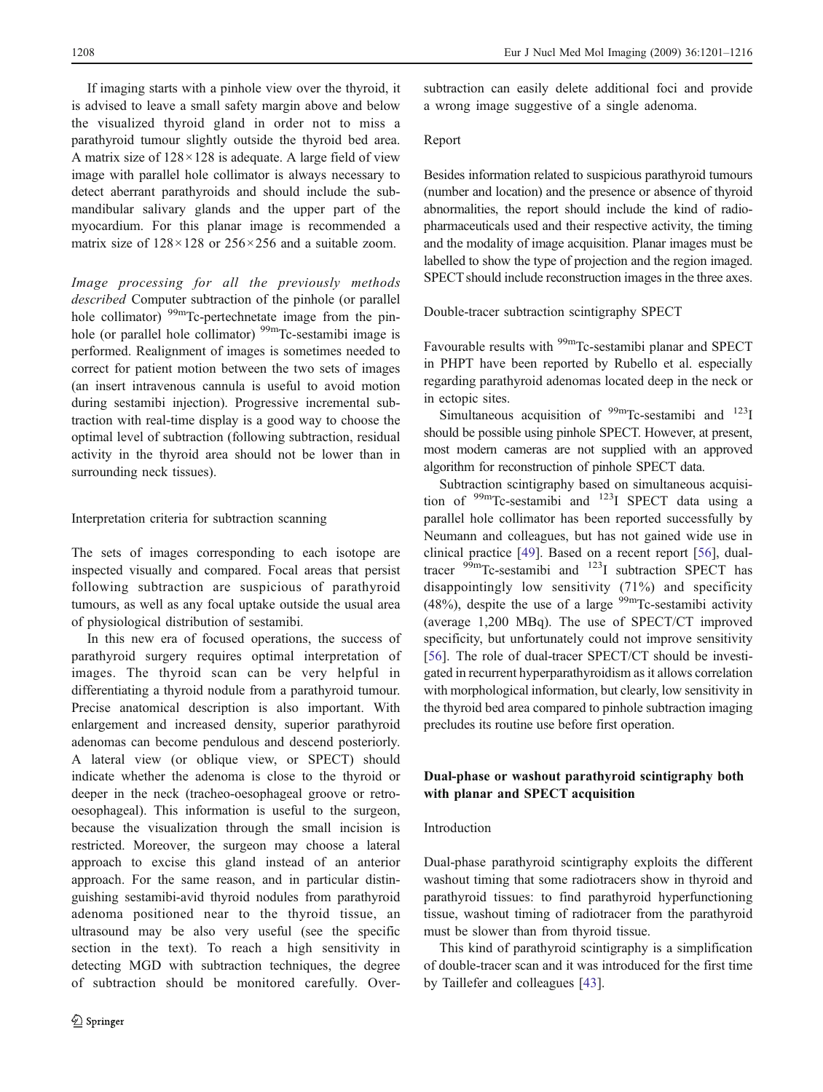If imaging starts with a pinhole view over the thyroid, it is advised to leave a small safety margin above and below the visualized thyroid gland in order not to miss a parathyroid tumour slightly outside the thyroid bed area. A matrix size of  $128 \times 128$  is adequate. A large field of view image with parallel hole collimator is always necessary to detect aberrant parathyroids and should include the submandibular salivary glands and the upper part of the myocardium. For this planar image is recommended a matrix size of  $128 \times 128$  or  $256 \times 256$  and a suitable zoom.

Image processing for all the previously methods described Computer subtraction of the pinhole (or parallel hole collimator) <sup>99m</sup>Tc-pertechnetate image from the pinhole (or parallel hole collimator) <sup>99m</sup>Tc-sestamibi image is performed. Realignment of images is sometimes needed to correct for patient motion between the two sets of images (an insert intravenous cannula is useful to avoid motion during sestamibi injection). Progressive incremental subtraction with real-time display is a good way to choose the optimal level of subtraction (following subtraction, residual activity in the thyroid area should not be lower than in surrounding neck tissues).

# Interpretation criteria for subtraction scanning

The sets of images corresponding to each isotope are inspected visually and compared. Focal areas that persist following subtraction are suspicious of parathyroid tumours, as well as any focal uptake outside the usual area of physiological distribution of sestamibi.

In this new era of focused operations, the success of parathyroid surgery requires optimal interpretation of images. The thyroid scan can be very helpful in differentiating a thyroid nodule from a parathyroid tumour. Precise anatomical description is also important. With enlargement and increased density, superior parathyroid adenomas can become pendulous and descend posteriorly. A lateral view (or oblique view, or SPECT) should indicate whether the adenoma is close to the thyroid or deeper in the neck (tracheo-oesophageal groove or retrooesophageal). This information is useful to the surgeon, because the visualization through the small incision is restricted. Moreover, the surgeon may choose a lateral approach to excise this gland instead of an anterior approach. For the same reason, and in particular distinguishing sestamibi-avid thyroid nodules from parathyroid adenoma positioned near to the thyroid tissue, an ultrasound may be also very useful (see the specific section in the text). To reach a high sensitivity in detecting MGD with subtraction techniques, the degree of subtraction should be monitored carefully. Over-

subtraction can easily delete additional foci and provide a wrong image suggestive of a single adenoma.

# Report

Besides information related to suspicious parathyroid tumours (number and location) and the presence or absence of thyroid abnormalities, the report should include the kind of radiopharmaceuticals used and their respective activity, the timing and the modality of image acquisition. Planar images must be labelled to show the type of projection and the region imaged. SPECT should include reconstruction images in the three axes.

# Double-tracer subtraction scintigraphy SPECT

Favourable results with <sup>99m</sup>Tc-sestamibi planar and SPECT in PHPT have been reported by Rubello et al. especially regarding parathyroid adenomas located deep in the neck or in ectopic sites.

Simultaneous acquisition of <sup>99m</sup>Tc-sestamibi and <sup>123</sup>I should be possible using pinhole SPECT. However, at present, most modern cameras are not supplied with an approved algorithm for reconstruction of pinhole SPECT data.

Subtraction scintigraphy based on simultaneous acquisition of  $99m$ Tc-sestamibi and  $123$ I SPECT data using a parallel hole collimator has been reported successfully by Neumann and colleagues, but has not gained wide use in clinical practice [[49\]](#page-14-0). Based on a recent report [\[56](#page-14-0)], dualtracer 99mTc-sestamibi and 123I subtraction SPECT has disappointingly low sensitivity (71%) and specificity (48%), despite the use of a large  $99m$ Tc-sestamibi activity (average 1,200 MBq). The use of SPECT/CT improved specificity, but unfortunately could not improve sensitivity [\[56](#page-14-0)]. The role of dual-tracer SPECT/CT should be investigated in recurrent hyperparathyroidism as it allows correlation with morphological information, but clearly, low sensitivity in the thyroid bed area compared to pinhole subtraction imaging precludes its routine use before first operation.

# Dual-phase or washout parathyroid scintigraphy both with planar and SPECT acquisition

# Introduction

Dual-phase parathyroid scintigraphy exploits the different washout timing that some radiotracers show in thyroid and parathyroid tissues: to find parathyroid hyperfunctioning tissue, washout timing of radiotracer from the parathyroid must be slower than from thyroid tissue.

This kind of parathyroid scintigraphy is a simplification of double-tracer scan and it was introduced for the first time by Taillefer and colleagues [\[43](#page-14-0)].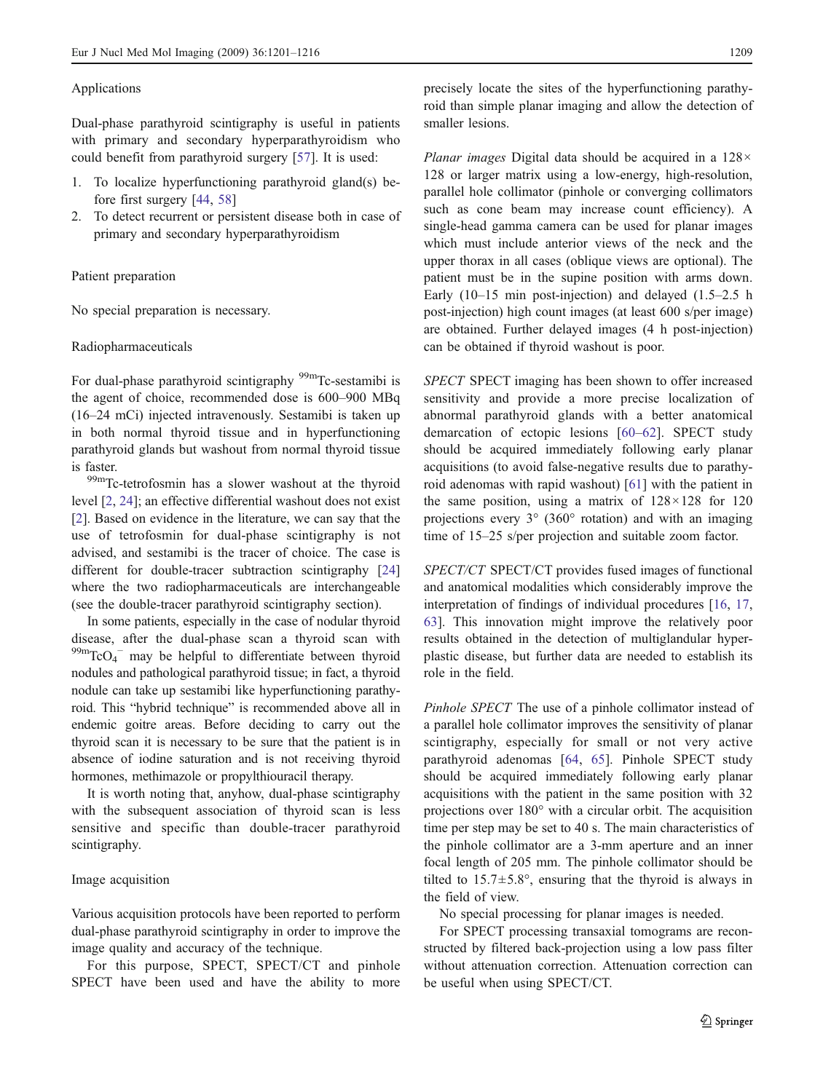### Applications

Dual-phase parathyroid scintigraphy is useful in patients with primary and secondary hyperparathyroidism who could benefit from parathyroid surgery [[57\]](#page-14-0). It is used:

- 1. To localize hyperfunctioning parathyroid gland(s) before first surgery [\[44](#page-14-0), [58\]](#page-14-0)
- 2. To detect recurrent or persistent disease both in case of primary and secondary hyperparathyroidism

#### Patient preparation

No special preparation is necessary.

### Radiopharmaceuticals

For dual-phase parathyroid scintigraphy <sup>99m</sup>Tc-sestamibi is the agent of choice, recommended dose is 600–900 MBq (16–24 mCi) injected intravenously. Sestamibi is taken up in both normal thyroid tissue and in hyperfunctioning parathyroid glands but washout from normal thyroid tissue is faster.

99mTc-tetrofosmin has a slower washout at the thyroid level [[2,](#page-13-0) [24\]](#page-13-0); an effective differential washout does not exist [[2\]](#page-13-0). Based on evidence in the literature, we can say that the use of tetrofosmin for dual-phase scintigraphy is not advised, and sestamibi is the tracer of choice. The case is different for double-tracer subtraction scintigraphy [[24\]](#page-13-0) where the two radiopharmaceuticals are interchangeable (see the double-tracer parathyroid scintigraphy section).

In some patients, especially in the case of nodular thyroid disease, after the dual-phase scan a thyroid scan with  $^{99m}$ TcO<sub>4</sub><sup>-</sup> may be helpful to differentiate between thyroid nodules and pathological parathyroid tissue; in fact, a thyroid nodule can take up sestamibi like hyperfunctioning parathyroid. This "hybrid technique" is recommended above all in endemic goitre areas. Before deciding to carry out the thyroid scan it is necessary to be sure that the patient is in absence of iodine saturation and is not receiving thyroid hormones, methimazole or propylthiouracil therapy.

It is worth noting that, anyhow, dual-phase scintigraphy with the subsequent association of thyroid scan is less sensitive and specific than double-tracer parathyroid scintigraphy.

### Image acquisition

Various acquisition protocols have been reported to perform dual-phase parathyroid scintigraphy in order to improve the image quality and accuracy of the technique.

For this purpose, SPECT, SPECT/CT and pinhole SPECT have been used and have the ability to more

precisely locate the sites of the hyperfunctioning parathyroid than simple planar imaging and allow the detection of smaller lesions.

*Planar images* Digital data should be acquired in a  $128 \times$ 128 or larger matrix using a low-energy, high-resolution, parallel hole collimator (pinhole or converging collimators such as cone beam may increase count efficiency). A single-head gamma camera can be used for planar images which must include anterior views of the neck and the upper thorax in all cases (oblique views are optional). The patient must be in the supine position with arms down. Early (10–15 min post-injection) and delayed (1.5–2.5 h post-injection) high count images (at least 600 s/per image) are obtained. Further delayed images (4 h post-injection) can be obtained if thyroid washout is poor.

SPECT SPECT imaging has been shown to offer increased sensitivity and provide a more precise localization of abnormal parathyroid glands with a better anatomical demarcation of ectopic lesions [[60](#page-14-0)–[62](#page-14-0)]. SPECT study should be acquired immediately following early planar acquisitions (to avoid false-negative results due to parathyroid adenomas with rapid washout) [\[61](#page-14-0)] with the patient in the same position, using a matrix of  $128 \times 128$  for 120 projections every 3° (360° rotation) and with an imaging time of 15–25 s/per projection and suitable zoom factor.

SPECT/CT SPECT/CT provides fused images of functional and anatomical modalities which considerably improve the interpretation of findings of individual procedures [\[16](#page-13-0), [17](#page-13-0), [63\]](#page-14-0). This innovation might improve the relatively poor results obtained in the detection of multiglandular hyperplastic disease, but further data are needed to establish its role in the field.

Pinhole SPECT The use of a pinhole collimator instead of a parallel hole collimator improves the sensitivity of planar scintigraphy, especially for small or not very active parathyroid adenomas [[64](#page-14-0), [65](#page-14-0)]. Pinhole SPECT study should be acquired immediately following early planar acquisitions with the patient in the same position with 32 projections over 180° with a circular orbit. The acquisition time per step may be set to 40 s. The main characteristics of the pinhole collimator are a 3-mm aperture and an inner focal length of 205 mm. The pinhole collimator should be tilted to  $15.7 \pm 5.8^\circ$ , ensuring that the thyroid is always in the field of view.

No special processing for planar images is needed.

For SPECT processing transaxial tomograms are reconstructed by filtered back-projection using a low pass filter without attenuation correction. Attenuation correction can be useful when using SPECT/CT.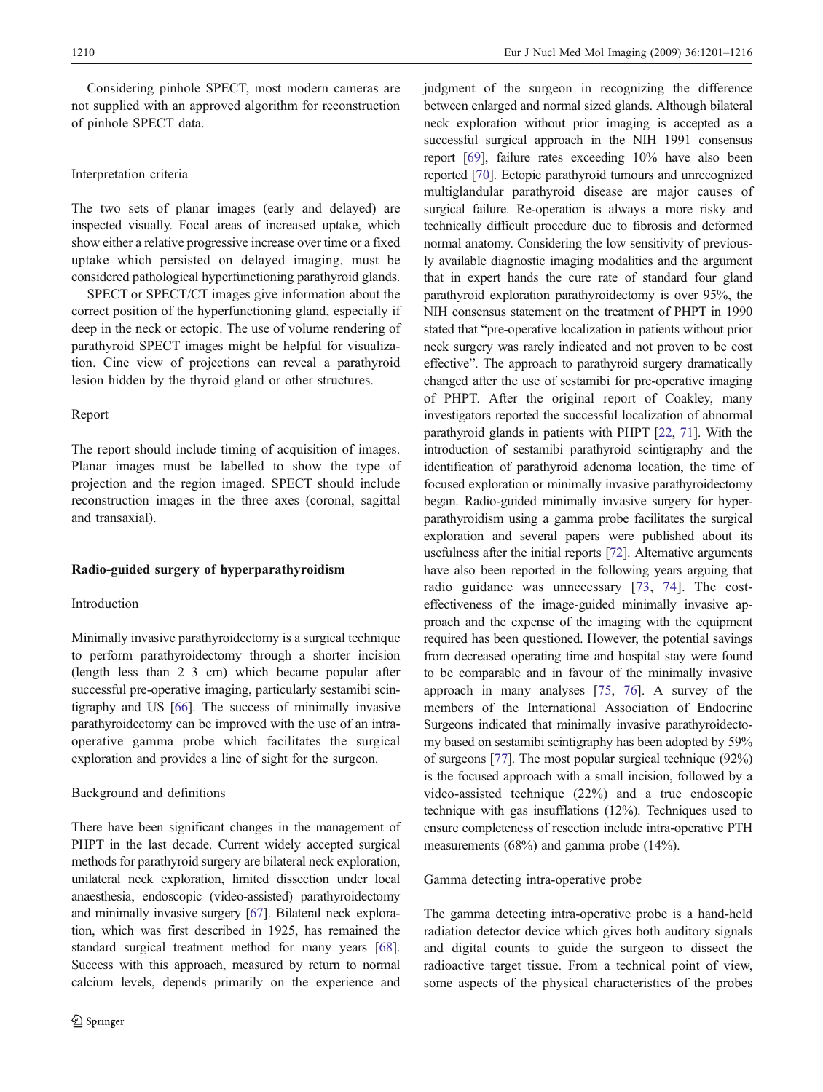Considering pinhole SPECT, most modern cameras are not supplied with an approved algorithm for reconstruction of pinhole SPECT data.

#### Interpretation criteria

The two sets of planar images (early and delayed) are inspected visually. Focal areas of increased uptake, which show either a relative progressive increase over time or a fixed uptake which persisted on delayed imaging, must be considered pathological hyperfunctioning parathyroid glands.

SPECT or SPECT/CT images give information about the correct position of the hyperfunctioning gland, especially if deep in the neck or ectopic. The use of volume rendering of parathyroid SPECT images might be helpful for visualization. Cine view of projections can reveal a parathyroid lesion hidden by the thyroid gland or other structures.

### Report

The report should include timing of acquisition of images. Planar images must be labelled to show the type of projection and the region imaged. SPECT should include reconstruction images in the three axes (coronal, sagittal and transaxial).

### Radio-guided surgery of hyperparathyroidism

## Introduction

Minimally invasive parathyroidectomy is a surgical technique to perform parathyroidectomy through a shorter incision (length less than 2–3 cm) which became popular after successful pre-operative imaging, particularly sestamibi scintigraphy and US [\[66](#page-14-0)]. The success of minimally invasive parathyroidectomy can be improved with the use of an intraoperative gamma probe which facilitates the surgical exploration and provides a line of sight for the surgeon.

#### Background and definitions

There have been significant changes in the management of PHPT in the last decade. Current widely accepted surgical methods for parathyroid surgery are bilateral neck exploration, unilateral neck exploration, limited dissection under local anaesthesia, endoscopic (video-assisted) parathyroidectomy and minimally invasive surgery [\[67\]](#page-14-0). Bilateral neck exploration, which was first described in 1925, has remained the standard surgical treatment method for many years [[68](#page-14-0)]. Success with this approach, measured by return to normal calcium levels, depends primarily on the experience and

judgment of the surgeon in recognizing the difference between enlarged and normal sized glands. Although bilateral neck exploration without prior imaging is accepted as a successful surgical approach in the NIH 1991 consensus report [\[69](#page-14-0)], failure rates exceeding 10% have also been reported [[70](#page-14-0)]. Ectopic parathyroid tumours and unrecognized multiglandular parathyroid disease are major causes of surgical failure. Re-operation is always a more risky and technically difficult procedure due to fibrosis and deformed normal anatomy. Considering the low sensitivity of previously available diagnostic imaging modalities and the argument that in expert hands the cure rate of standard four gland parathyroid exploration parathyroidectomy is over 95%, the NIH consensus statement on the treatment of PHPT in 1990 stated that "pre-operative localization in patients without prior neck surgery was rarely indicated and not proven to be cost effective". The approach to parathyroid surgery dramatically changed after the use of sestamibi for pre-operative imaging of PHPT. After the original report of Coakley, many investigators reported the successful localization of abnormal parathyroid glands in patients with PHPT [[22,](#page-13-0) [71\]](#page-14-0). With the introduction of sestamibi parathyroid scintigraphy and the identification of parathyroid adenoma location, the time of focused exploration or minimally invasive parathyroidectomy began. Radio-guided minimally invasive surgery for hyperparathyroidism using a gamma probe facilitates the surgical exploration and several papers were published about its usefulness after the initial reports [\[72](#page-14-0)]. Alternative arguments have also been reported in the following years arguing that radio guidance was unnecessary [\[73,](#page-15-0) [74](#page-15-0)]. The costeffectiveness of the image-guided minimally invasive approach and the expense of the imaging with the equipment required has been questioned. However, the potential savings from decreased operating time and hospital stay were found to be comparable and in favour of the minimally invasive approach in many analyses [[75,](#page-15-0) [76](#page-15-0)]. A survey of the members of the International Association of Endocrine Surgeons indicated that minimally invasive parathyroidectomy based on sestamibi scintigraphy has been adopted by 59% of surgeons [[77](#page-15-0)]. The most popular surgical technique (92%) is the focused approach with a small incision, followed by a video-assisted technique (22%) and a true endoscopic technique with gas insufflations (12%). Techniques used to ensure completeness of resection include intra-operative PTH measurements (68%) and gamma probe (14%).

### Gamma detecting intra-operative probe

The gamma detecting intra-operative probe is a hand-held radiation detector device which gives both auditory signals and digital counts to guide the surgeon to dissect the radioactive target tissue. From a technical point of view, some aspects of the physical characteristics of the probes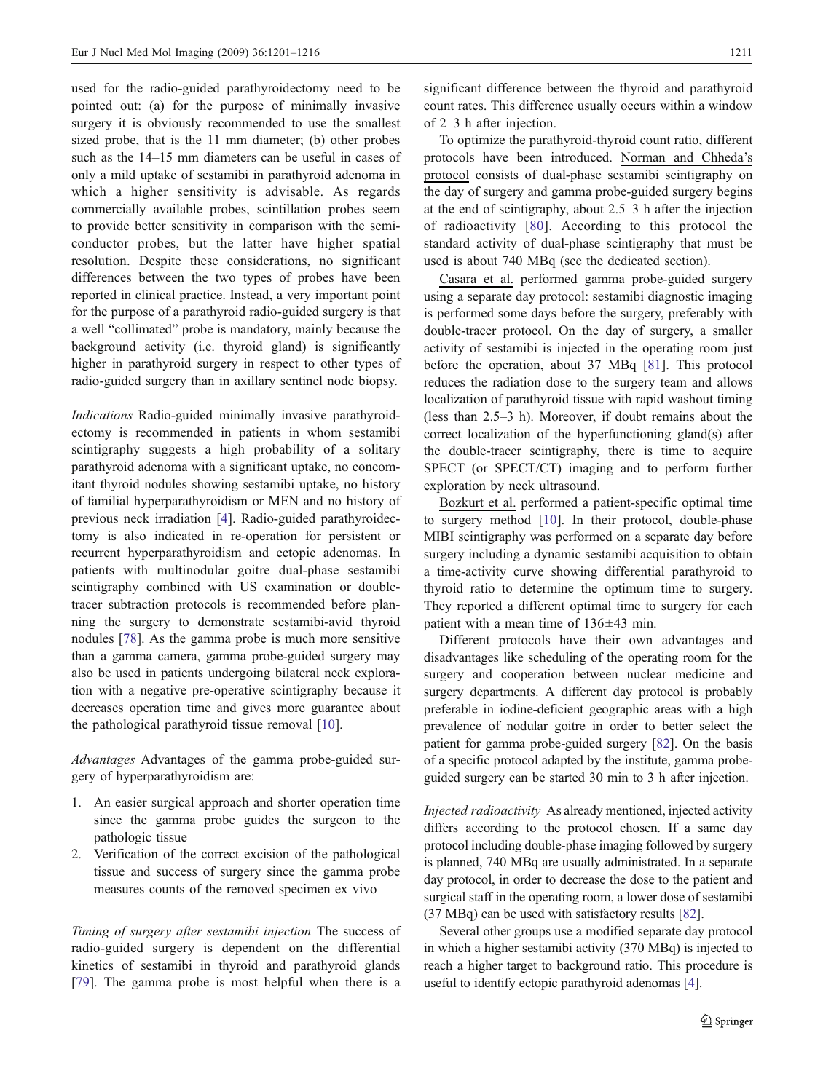used for the radio-guided parathyroidectomy need to be pointed out: (a) for the purpose of minimally invasive surgery it is obviously recommended to use the smallest sized probe, that is the 11 mm diameter; (b) other probes such as the 14–15 mm diameters can be useful in cases of only a mild uptake of sestamibi in parathyroid adenoma in which a higher sensitivity is advisable. As regards commercially available probes, scintillation probes seem to provide better sensitivity in comparison with the semiconductor probes, but the latter have higher spatial resolution. Despite these considerations, no significant differences between the two types of probes have been reported in clinical practice. Instead, a very important point for the purpose of a parathyroid radio-guided surgery is that a well "collimated" probe is mandatory, mainly because the background activity (i.e. thyroid gland) is significantly higher in parathyroid surgery in respect to other types of radio-guided surgery than in axillary sentinel node biopsy.

Indications Radio-guided minimally invasive parathyroidectomy is recommended in patients in whom sestamibi scintigraphy suggests a high probability of a solitary parathyroid adenoma with a significant uptake, no concomitant thyroid nodules showing sestamibi uptake, no history of familial hyperparathyroidism or MEN and no history of previous neck irradiation [\[4](#page-13-0)]. Radio-guided parathyroidectomy is also indicated in re-operation for persistent or recurrent hyperparathyroidism and ectopic adenomas. In patients with multinodular goitre dual-phase sestamibi scintigraphy combined with US examination or doubletracer subtraction protocols is recommended before planning the surgery to demonstrate sestamibi-avid thyroid nodules [\[78](#page-15-0)]. As the gamma probe is much more sensitive than a gamma camera, gamma probe-guided surgery may also be used in patients undergoing bilateral neck exploration with a negative pre-operative scintigraphy because it decreases operation time and gives more guarantee about the pathological parathyroid tissue removal [[10\]](#page-13-0).

Advantages Advantages of the gamma probe-guided surgery of hyperparathyroidism are:

- 1. An easier surgical approach and shorter operation time since the gamma probe guides the surgeon to the pathologic tissue
- 2. Verification of the correct excision of the pathological tissue and success of surgery since the gamma probe measures counts of the removed specimen ex vivo

Timing of surgery after sestamibi injection The success of radio-guided surgery is dependent on the differential kinetics of sestamibi in thyroid and parathyroid glands [[79\]](#page-15-0). The gamma probe is most helpful when there is a

significant difference between the thyroid and parathyroid count rates. This difference usually occurs within a window of 2–3 h after injection.

To optimize the parathyroid-thyroid count ratio, different protocols have been introduced. Norman and Chheda's protocol consists of dual-phase sestamibi scintigraphy on the day of surgery and gamma probe-guided surgery begins at the end of scintigraphy, about 2.5–3 h after the injection of radioactivity [\[80\]](#page-15-0). According to this protocol the standard activity of dual-phase scintigraphy that must be used is about 740 MBq (see the dedicated section).

Casara et al. performed gamma probe-guided surgery using a separate day protocol: sestamibi diagnostic imaging is performed some days before the surgery, preferably with double-tracer protocol. On the day of surgery, a smaller activity of sestamibi is injected in the operating room just before the operation, about 37 MBq [[81\]](#page-15-0). This protocol reduces the radiation dose to the surgery team and allows localization of parathyroid tissue with rapid washout timing (less than 2.5–3 h). Moreover, if doubt remains about the correct localization of the hyperfunctioning gland(s) after the double-tracer scintigraphy, there is time to acquire SPECT (or SPECT/CT) imaging and to perform further exploration by neck ultrasound.

Bozkurt et al. performed a patient-specific optimal time to surgery method [\[10](#page-13-0)]. In their protocol, double-phase MIBI scintigraphy was performed on a separate day before surgery including a dynamic sestamibi acquisition to obtain a time-activity curve showing differential parathyroid to thyroid ratio to determine the optimum time to surgery. They reported a different optimal time to surgery for each patient with a mean time of 136±43 min.

Different protocols have their own advantages and disadvantages like scheduling of the operating room for the surgery and cooperation between nuclear medicine and surgery departments. A different day protocol is probably preferable in iodine-deficient geographic areas with a high prevalence of nodular goitre in order to better select the patient for gamma probe-guided surgery [\[82\]](#page-15-0). On the basis of a specific protocol adapted by the institute, gamma probeguided surgery can be started 30 min to 3 h after injection.

Injected radioactivity As already mentioned, injected activity differs according to the protocol chosen. If a same day protocol including double-phase imaging followed by surgery is planned, 740 MBq are usually administrated. In a separate day protocol, in order to decrease the dose to the patient and surgical staff in the operating room, a lower dose of sestamibi (37 MBq) can be used with satisfactory results [\[82](#page-15-0)].

Several other groups use a modified separate day protocol in which a higher sestamibi activity (370 MBq) is injected to reach a higher target to background ratio. This procedure is useful to identify ectopic parathyroid adenomas [\[4\]](#page-13-0).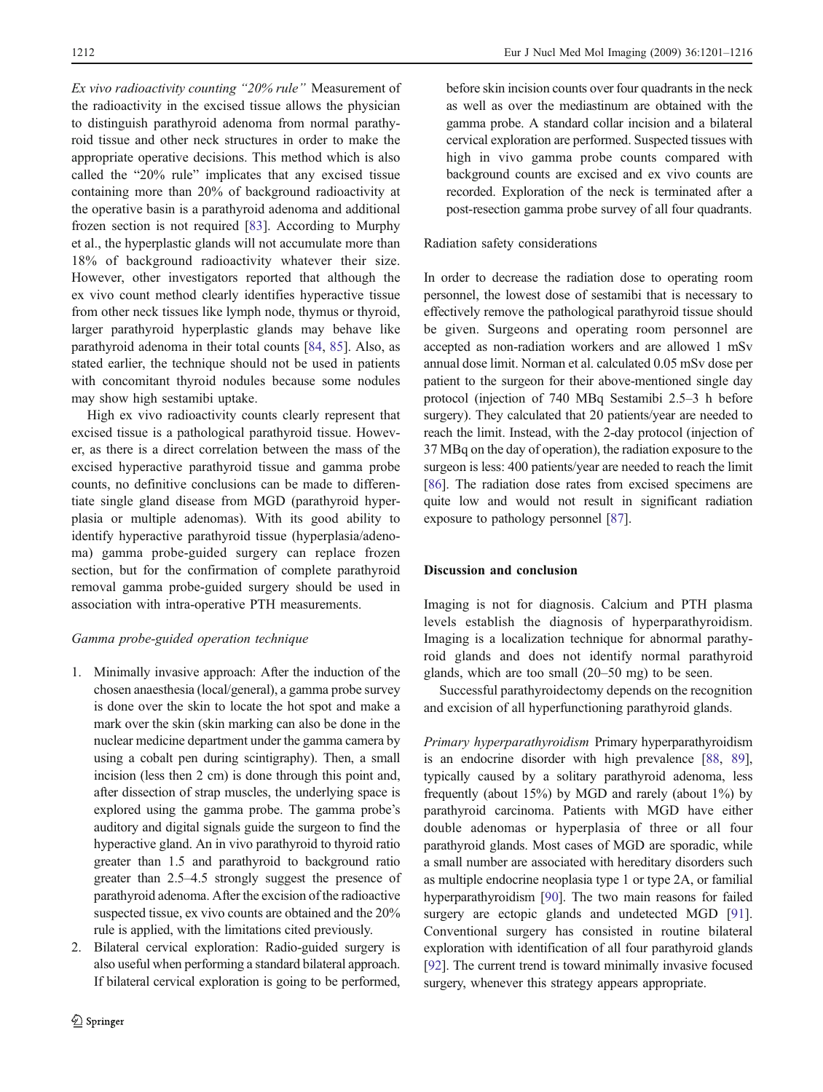Ex vivo radioactivity counting "20% rule" Measurement of the radioactivity in the excised tissue allows the physician to distinguish parathyroid adenoma from normal parathyroid tissue and other neck structures in order to make the appropriate operative decisions. This method which is also called the "20% rule" implicates that any excised tissue containing more than 20% of background radioactivity at the operative basin is a parathyroid adenoma and additional frozen section is not required [\[83](#page-15-0)]. According to Murphy et al., the hyperplastic glands will not accumulate more than 18% of background radioactivity whatever their size. However, other investigators reported that although the ex vivo count method clearly identifies hyperactive tissue from other neck tissues like lymph node, thymus or thyroid, larger parathyroid hyperplastic glands may behave like parathyroid adenoma in their total counts [\[84](#page-15-0), [85\]](#page-15-0). Also, as stated earlier, the technique should not be used in patients with concomitant thyroid nodules because some nodules may show high sestamibi uptake.

High ex vivo radioactivity counts clearly represent that excised tissue is a pathological parathyroid tissue. However, as there is a direct correlation between the mass of the excised hyperactive parathyroid tissue and gamma probe counts, no definitive conclusions can be made to differentiate single gland disease from MGD (parathyroid hyperplasia or multiple adenomas). With its good ability to identify hyperactive parathyroid tissue (hyperplasia/adenoma) gamma probe-guided surgery can replace frozen section, but for the confirmation of complete parathyroid removal gamma probe-guided surgery should be used in association with intra-operative PTH measurements.

# Gamma probe-guided operation technique

- 1. Minimally invasive approach: After the induction of the chosen anaesthesia (local/general), a gamma probe survey is done over the skin to locate the hot spot and make a mark over the skin (skin marking can also be done in the nuclear medicine department under the gamma camera by using a cobalt pen during scintigraphy). Then, a small incision (less then 2 cm) is done through this point and, after dissection of strap muscles, the underlying space is explored using the gamma probe. The gamma probe's auditory and digital signals guide the surgeon to find the hyperactive gland. An in vivo parathyroid to thyroid ratio greater than 1.5 and parathyroid to background ratio greater than 2.5–4.5 strongly suggest the presence of parathyroid adenoma. After the excision of the radioactive suspected tissue, ex vivo counts are obtained and the 20% rule is applied, with the limitations cited previously.
- 2. Bilateral cervical exploration: Radio-guided surgery is also useful when performing a standard bilateral approach. If bilateral cervical exploration is going to be performed,

before skin incision counts over four quadrants in the neck as well as over the mediastinum are obtained with the gamma probe. A standard collar incision and a bilateral cervical exploration are performed. Suspected tissues with high in vivo gamma probe counts compared with background counts are excised and ex vivo counts are recorded. Exploration of the neck is terminated after a post-resection gamma probe survey of all four quadrants.

### Radiation safety considerations

In order to decrease the radiation dose to operating room personnel, the lowest dose of sestamibi that is necessary to effectively remove the pathological parathyroid tissue should be given. Surgeons and operating room personnel are accepted as non-radiation workers and are allowed 1 mSv annual dose limit. Norman et al. calculated 0.05 mSv dose per patient to the surgeon for their above-mentioned single day protocol (injection of 740 MBq Sestamibi 2.5–3 h before surgery). They calculated that 20 patients/year are needed to reach the limit. Instead, with the 2-day protocol (injection of 37 MBq on the day of operation), the radiation exposure to the surgeon is less: 400 patients/year are needed to reach the limit [[86\]](#page-15-0). The radiation dose rates from excised specimens are quite low and would not result in significant radiation exposure to pathology personnel [\[87\]](#page-15-0).

### Discussion and conclusion

Imaging is not for diagnosis. Calcium and PTH plasma levels establish the diagnosis of hyperparathyroidism. Imaging is a localization technique for abnormal parathyroid glands and does not identify normal parathyroid glands, which are too small (20–50 mg) to be seen.

Successful parathyroidectomy depends on the recognition and excision of all hyperfunctioning parathyroid glands.

Primary hyperparathyroidism Primary hyperparathyroidism is an endocrine disorder with high prevalence [\[88,](#page-15-0) [89](#page-15-0)], typically caused by a solitary parathyroid adenoma, less frequently (about  $15\%$ ) by MGD and rarely (about  $1\%$ ) by parathyroid carcinoma. Patients with MGD have either double adenomas or hyperplasia of three or all four parathyroid glands. Most cases of MGD are sporadic, while a small number are associated with hereditary disorders such as multiple endocrine neoplasia type 1 or type 2A, or familial hyperparathyroidism [\[90](#page-15-0)]. The two main reasons for failed surgery are ectopic glands and undetected MGD [\[91](#page-15-0)]. Conventional surgery has consisted in routine bilateral exploration with identification of all four parathyroid glands [\[92\]](#page-15-0). The current trend is toward minimally invasive focused surgery, whenever this strategy appears appropriate.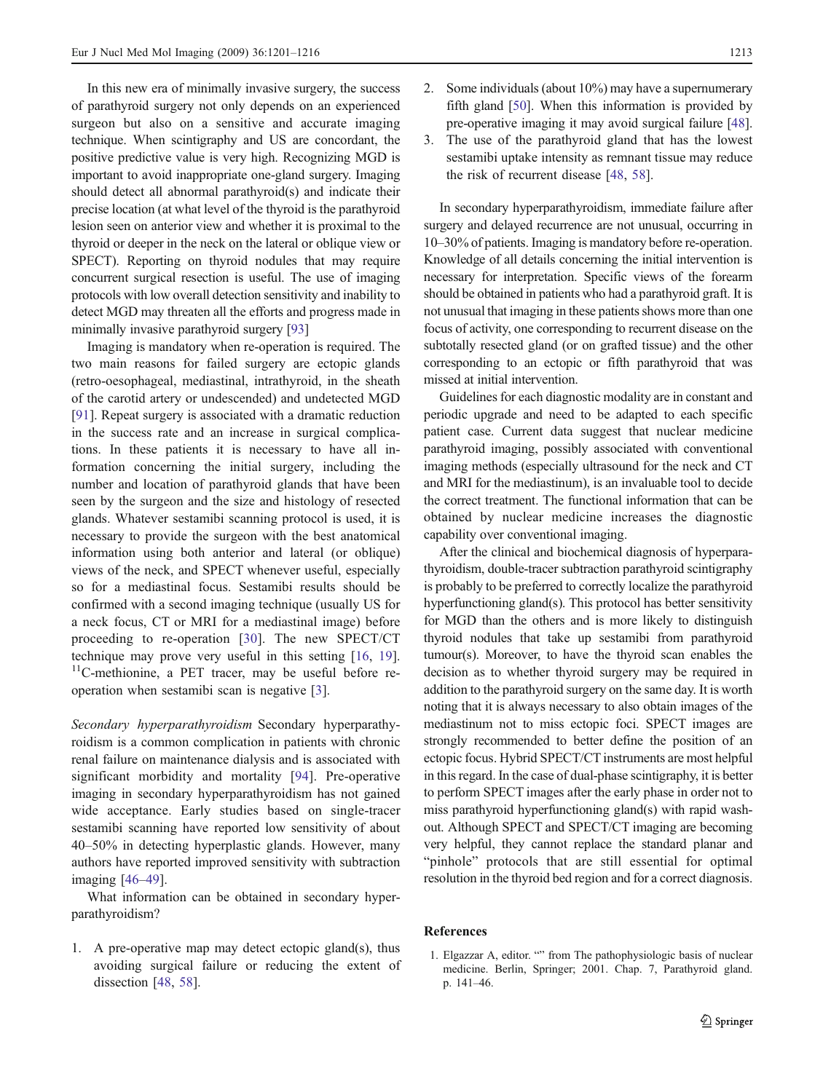<span id="page-12-0"></span>In this new era of minimally invasive surgery, the success of parathyroid surgery not only depends on an experienced surgeon but also on a sensitive and accurate imaging technique. When scintigraphy and US are concordant, the positive predictive value is very high. Recognizing MGD is important to avoid inappropriate one-gland surgery. Imaging should detect all abnormal parathyroid(s) and indicate their precise location (at what level of the thyroid is the parathyroid lesion seen on anterior view and whether it is proximal to the thyroid or deeper in the neck on the lateral or oblique view or SPECT). Reporting on thyroid nodules that may require concurrent surgical resection is useful. The use of imaging protocols with low overall detection sensitivity and inability to detect MGD may threaten all the efforts and progress made in minimally invasive parathyroid surgery [[93](#page-15-0)]

Imaging is mandatory when re-operation is required. The two main reasons for failed surgery are ectopic glands (retro-oesophageal, mediastinal, intrathyroid, in the sheath of the carotid artery or undescended) and undetected MGD [[91\]](#page-15-0). Repeat surgery is associated with a dramatic reduction in the success rate and an increase in surgical complications. In these patients it is necessary to have all information concerning the initial surgery, including the number and location of parathyroid glands that have been seen by the surgeon and the size and histology of resected glands. Whatever sestamibi scanning protocol is used, it is necessary to provide the surgeon with the best anatomical information using both anterior and lateral (or oblique) views of the neck, and SPECT whenever useful, especially so for a mediastinal focus. Sestamibi results should be confirmed with a second imaging technique (usually US for a neck focus, CT or MRI for a mediastinal image) before proceeding to re-operation [\[30](#page-13-0)]. The new SPECT/CT technique may prove very useful in this setting  $[16, 19]$  $[16, 19]$  $[16, 19]$  $[16, 19]$ .<br><sup>11</sup>C-methionine, a PET tracer, may be useful before reoperation when sestamibi scan is negative [\[3](#page-13-0)].

Secondary hyperparathyroidism Secondary hyperparathyroidism is a common complication in patients with chronic renal failure on maintenance dialysis and is associated with significant morbidity and mortality [[94\]](#page-15-0). Pre-operative imaging in secondary hyperparathyroidism has not gained wide acceptance. Early studies based on single-tracer sestamibi scanning have reported low sensitivity of about 40–50% in detecting hyperplastic glands. However, many authors have reported improved sensitivity with subtraction imaging [[46](#page-14-0)–[49\]](#page-14-0).

What information can be obtained in secondary hyperparathyroidism?

1. A pre-operative map may detect ectopic gland(s), thus avoiding surgical failure or reducing the extent of dissection [\[48,](#page-14-0) [58\]](#page-14-0).

- 2. Some individuals (about 10%) may have a supernumerary fifth gland [\[50](#page-14-0)]. When this information is provided by pre-operative imaging it may avoid surgical failure [\[48](#page-14-0)].
- 3. The use of the parathyroid gland that has the lowest sestamibi uptake intensity as remnant tissue may reduce the risk of recurrent disease [[48,](#page-14-0) [58\]](#page-14-0).

In secondary hyperparathyroidism, immediate failure after surgery and delayed recurrence are not unusual, occurring in 10–30% of patients. Imaging is mandatory before re-operation. Knowledge of all details concerning the initial intervention is necessary for interpretation. Specific views of the forearm should be obtained in patients who had a parathyroid graft. It is not unusual that imaging in these patients shows more than one focus of activity, one corresponding to recurrent disease on the subtotally resected gland (or on grafted tissue) and the other corresponding to an ectopic or fifth parathyroid that was missed at initial intervention.

Guidelines for each diagnostic modality are in constant and periodic upgrade and need to be adapted to each specific patient case. Current data suggest that nuclear medicine parathyroid imaging, possibly associated with conventional imaging methods (especially ultrasound for the neck and CT and MRI for the mediastinum), is an invaluable tool to decide the correct treatment. The functional information that can be obtained by nuclear medicine increases the diagnostic capability over conventional imaging.

After the clinical and biochemical diagnosis of hyperparathyroidism, double-tracer subtraction parathyroid scintigraphy is probably to be preferred to correctly localize the parathyroid hyperfunctioning gland(s). This protocol has better sensitivity for MGD than the others and is more likely to distinguish thyroid nodules that take up sestamibi from parathyroid tumour(s). Moreover, to have the thyroid scan enables the decision as to whether thyroid surgery may be required in addition to the parathyroid surgery on the same day. It is worth noting that it is always necessary to also obtain images of the mediastinum not to miss ectopic foci. SPECT images are strongly recommended to better define the position of an ectopic focus. Hybrid SPECT/CT instruments are most helpful in this regard. In the case of dual-phase scintigraphy, it is better to perform SPECT images after the early phase in order not to miss parathyroid hyperfunctioning gland(s) with rapid washout. Although SPECT and SPECT/CT imaging are becoming very helpful, they cannot replace the standard planar and "pinhole" protocols that are still essential for optimal resolution in the thyroid bed region and for a correct diagnosis.

# References

1. Elgazzar A, editor. "" from The pathophysiologic basis of nuclear medicine. Berlin, Springer; 2001. Chap. 7, Parathyroid gland. p. 141–46.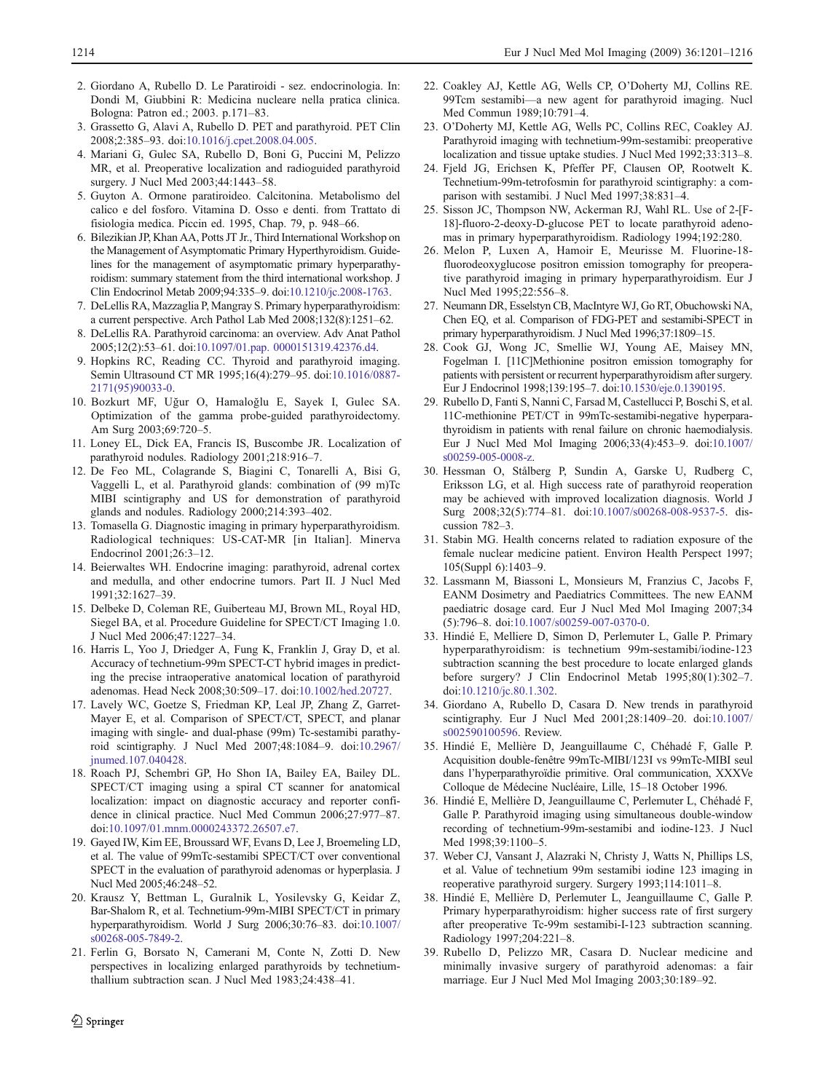- <span id="page-13-0"></span>2. Giordano A, Rubello D. Le Paratiroidi - sez. endocrinologia. In: Dondi M, Giubbini R: Medicina nucleare nella pratica clinica. Bologna: Patron ed.; 2003. p.171–83.
- 3. Grassetto G, Alavi A, Rubello D. PET and parathyroid. PET Clin 2008;2:385–93. doi:[10.1016/j.cpet.2008.04.005](http://dx.doi.org/10.1016/j.cpet.2008.04.005).
- 4. Mariani G, Gulec SA, Rubello D, Boni G, Puccini M, Pelizzo MR, et al. Preoperative localization and radioguided parathyroid surgery. J Nucl Med 2003;44:1443–58.
- 5. Guyton A. Ormone paratiroideo. Calcitonina. Metabolismo del calico e del fosforo. Vitamina D. Osso e denti. from Trattato di fisiologia medica. Piccin ed. 1995, Chap. 79, p. 948–66.
- 6. Bilezikian JP, Khan AA, Potts JT Jr., Third International Workshop on the Management of Asymptomatic Primary Hyperthyroidism. Guidelines for the management of asymptomatic primary hyperparathyroidism: summary statement from the third international workshop. J Clin Endocrinol Metab 2009;94:335–9. doi:[10.1210/jc.2008-1763.](http://dx.doi.org/10.1210/jc.2008-1763)
- 7. DeLellis RA, Mazzaglia P, Mangray S. Primary hyperparathyroidism: a current perspective. Arch Pathol Lab Med 2008;132(8):1251–62.
- 8. DeLellis RA. Parathyroid carcinoma: an overview. Adv Anat Pathol 2005;12(2):53–61. doi[:10.1097/01.pap. 0000151319.42376.d4](http://dx.doi.org/10.1097/01.pap. 0000151319.42376.d4).
- 9. Hopkins RC, Reading CC. Thyroid and parathyroid imaging. Semin Ultrasound CT MR 1995;16(4):279–95. doi[:10.1016/0887-](http://dx.doi.org/10.1016/0887-2171(95)90033-0) [2171\(95\)90033-0.](http://dx.doi.org/10.1016/0887-2171(95)90033-0)
- 10. Bozkurt MF, Uğur O, Hamaloğlu E, Sayek I, Gulec SA. Optimization of the gamma probe-guided parathyroidectomy. Am Surg 2003;69:720–5.
- 11. Loney EL, Dick EA, Francis IS, Buscombe JR. Localization of parathyroid nodules. Radiology 2001;218:916–7.
- 12. De Feo ML, Colagrande S, Biagini C, Tonarelli A, Bisi G, Vaggelli L, et al. Parathyroid glands: combination of (99 m)Tc MIBI scintigraphy and US for demonstration of parathyroid glands and nodules. Radiology 2000;214:393–402.
- 13. Tomasella G. Diagnostic imaging in primary hyperparathyroidism. Radiological techniques: US-CAT-MR [in Italian]. Minerva Endocrinol 2001;26:3–12.
- 14. Beierwaltes WH. Endocrine imaging: parathyroid, adrenal cortex and medulla, and other endocrine tumors. Part II. J Nucl Med 1991;32:1627–39.
- 15. Delbeke D, Coleman RE, Guiberteau MJ, Brown ML, Royal HD, Siegel BA, et al. Procedure Guideline for SPECT/CT Imaging 1.0. J Nucl Med 2006;47:1227–34.
- 16. Harris L, Yoo J, Driedger A, Fung K, Franklin J, Gray D, et al. Accuracy of technetium-99m SPECT-CT hybrid images in predicting the precise intraoperative anatomical location of parathyroid adenomas. Head Neck 2008;30:509–17. doi:[10.1002/hed.20727.](http://dx.doi.org/10.1002/hed.20727)
- 17. Lavely WC, Goetze S, Friedman KP, Leal JP, Zhang Z, Garret-Mayer E, et al. Comparison of SPECT/CT, SPECT, and planar imaging with single- and dual-phase (99m) Tc-sestamibi parathyroid scintigraphy. J Nucl Med 2007;48:1084–9. doi:[10.2967/](http://dx.doi.org/10.2967/jnumed.107.040428) [jnumed.107.040428](http://dx.doi.org/10.2967/jnumed.107.040428).
- 18. Roach PJ, Schembri GP, Ho Shon IA, Bailey EA, Bailey DL. SPECT/CT imaging using a spiral CT scanner for anatomical localization: impact on diagnostic accuracy and reporter confidence in clinical practice. Nucl Med Commun 2006;27:977–87. doi:[10.1097/01.mnm.0000243372.26507.e7](http://dx.doi.org/10.1097/01.mnm.0000243372.26507.e7).
- 19. Gayed IW, Kim EE, Broussard WF, Evans D, Lee J, Broemeling LD, et al. The value of 99mTc-sestamibi SPECT/CT over conventional SPECT in the evaluation of parathyroid adenomas or hyperplasia. J Nucl Med 2005;46:248–52.
- 20. Krausz Y, Bettman L, Guralnik L, Yosilevsky G, Keidar Z, Bar-Shalom R, et al. Technetium-99m-MIBI SPECT/CT in primary hyperparathyroidism. World J Surg 2006;30:76–83. doi:[10.1007/](http://dx.doi.org/10.1007/s00268-005-7849-2) [s00268-005-7849-2](http://dx.doi.org/10.1007/s00268-005-7849-2).
- 21. Ferlin G, Borsato N, Camerani M, Conte N, Zotti D. New perspectives in localizing enlarged parathyroids by technetiumthallium subtraction scan. J Nucl Med 1983;24:438–41.
- 22. Coakley AJ, Kettle AG, Wells CP, O'Doherty MJ, Collins RE. 99Tcm sestamibi—a new agent for parathyroid imaging. Nucl Med Commun 1989;10:791–4.
- 23. O'Doherty MJ, Kettle AG, Wells PC, Collins REC, Coakley AJ. Parathyroid imaging with technetium-99m-sestamibi: preoperative localization and tissue uptake studies. J Nucl Med 1992;33:313–8.
- 24. Fjeld JG, Erichsen K, Pfeffer PF, Clausen OP, Rootwelt K. Technetium-99m-tetrofosmin for parathyroid scintigraphy: a comparison with sestamibi. J Nucl Med 1997;38:831–4.
- 25. Sisson JC, Thompson NW, Ackerman RJ, Wahl RL. Use of 2-[F-18]-fluoro-2-deoxy-D-glucose PET to locate parathyroid adenomas in primary hyperparathyroidism. Radiology 1994;192:280.
- 26. Melon P, Luxen A, Hamoir E, Meurisse M. Fluorine-18 fluorodeoxyglucose positron emission tomography for preoperative parathyroid imaging in primary hyperparathyroidism. Eur J Nucl Med 1995;22:556–8.
- 27. Neumann DR, Esselstyn CB, MacIntyre WJ, Go RT, Obuchowski NA, Chen EQ, et al. Comparison of FDG-PET and sestamibi-SPECT in primary hyperparathyroidism. J Nucl Med 1996;37:1809–15.
- 28. Cook GJ, Wong JC, Smellie WJ, Young AE, Maisey MN, Fogelman I. [11C]Methionine positron emission tomography for patients with persistent or recurrent hyperparathyroidism after surgery. Eur J Endocrinol 1998;139:195–7. doi:[10.1530/eje.0.1390195](http://dx.doi.org/10.1530/eje.0.1390195).
- 29. Rubello D, Fanti S, Nanni C, Farsad M, Castellucci P, Boschi S, et al. 11C-methionine PET/CT in 99mTc-sestamibi-negative hyperparathyroidism in patients with renal failure on chronic haemodialysis. Eur J Nucl Med Mol Imaging 2006;33(4):453–9. doi:[10.1007/](http://dx.doi.org/10.1007/s00259-005-0008-z) [s00259-005-0008-z](http://dx.doi.org/10.1007/s00259-005-0008-z).
- 30. Hessman O, Stålberg P, Sundin A, Garske U, Rudberg C, Eriksson LG, et al. High success rate of parathyroid reoperation may be achieved with improved localization diagnosis. World J Surg 2008;32(5):774–81. doi:[10.1007/s00268-008-9537-5.](http://dx.doi.org/10.1007/s00268-008-9537-5) discussion 782–3.
- 31. Stabin MG. Health concerns related to radiation exposure of the female nuclear medicine patient. Environ Health Perspect 1997; 105(Suppl 6):1403–9.
- 32. Lassmann M, Biassoni L, Monsieurs M, Franzius C, Jacobs F, EANM Dosimetry and Paediatrics Committees. The new EANM paediatric dosage card. Eur J Nucl Med Mol Imaging 2007;34 (5):796–8. doi:[10.1007/s00259-007-0370-0](http://dx.doi.org/10.1007/s00259-007-0370-0).
- 33. Hindié E, Melliere D, Simon D, Perlemuter L, Galle P. Primary hyperparathyroidism: is technetium 99m-sestamibi/iodine-123 subtraction scanning the best procedure to locate enlarged glands before surgery? J Clin Endocrinol Metab 1995;80(1):302–7. doi:[10.1210/jc.80.1.302](http://dx.doi.org/10.1210/jc.80.1.302).
- 34. Giordano A, Rubello D, Casara D. New trends in parathyroid scintigraphy. Eur J Nucl Med 2001;28:1409–20. doi[:10.1007/](http://dx.doi.org/10.1007/s002590100596) [s002590100596.](http://dx.doi.org/10.1007/s002590100596) Review.
- 35. Hindié E, Mellière D, Jeanguillaume C, Chéhadé F, Galle P. Acquisition double-fenêtre 99mTc-MIBI/123I vs 99mTc-MIBI seul dans l'hyperparathyroïdie primitive. Oral communication, XXXVe Colloque de Médecine Nucléaire, Lille, 15–18 October 1996.
- 36. Hindié E, Mellière D, Jeanguillaume C, Perlemuter L, Chéhadé F, Galle P. Parathyroid imaging using simultaneous double-window recording of technetium-99m-sestamibi and iodine-123. J Nucl Med 1998;39:1100–5.
- 37. Weber CJ, Vansant J, Alazraki N, Christy J, Watts N, Phillips LS, et al. Value of technetium 99m sestamibi iodine 123 imaging in reoperative parathyroid surgery. Surgery 1993;114:1011–8.
- 38. Hindié E, Mellière D, Perlemuter L, Jeanguillaume C, Galle P. Primary hyperparathyroidism: higher success rate of first surgery after preoperative Tc-99m sestamibi-I-123 subtraction scanning. Radiology 1997;204:221–8.
- 39. Rubello D, Pelizzo MR, Casara D. Nuclear medicine and minimally invasive surgery of parathyroid adenomas: a fair marriage. Eur J Nucl Med Mol Imaging 2003;30:189–92.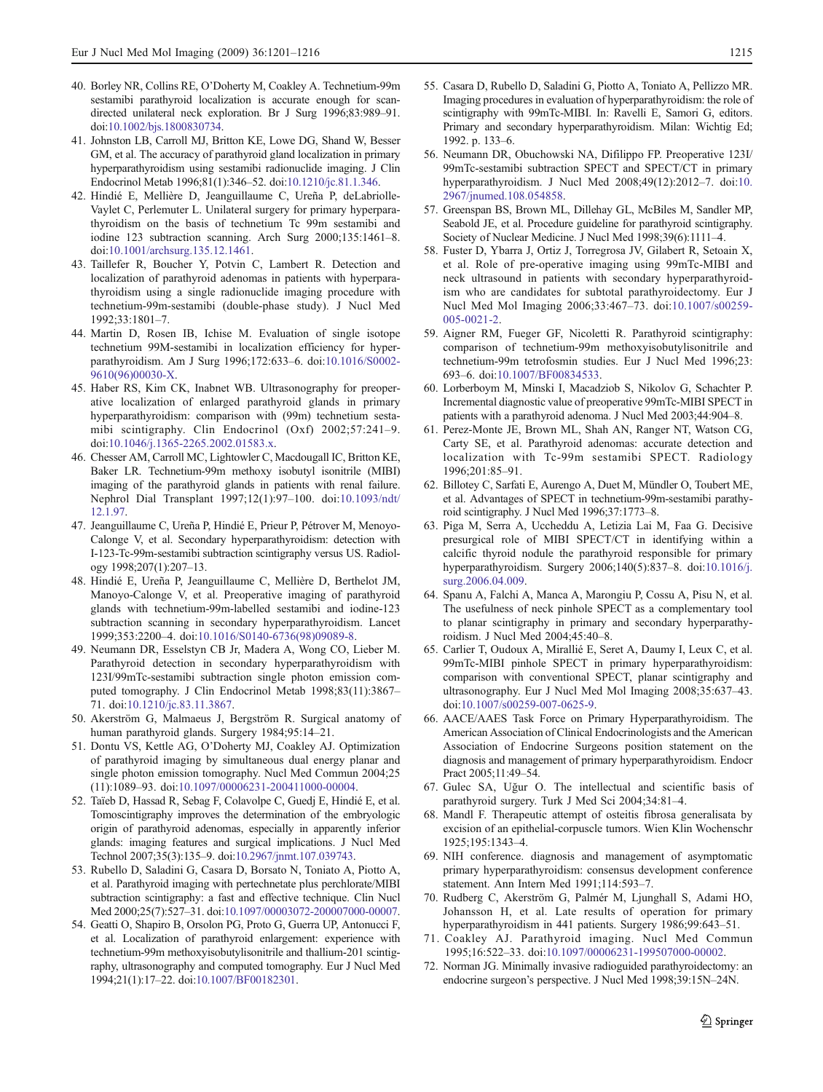- <span id="page-14-0"></span>40. Borley NR, Collins RE, O'Doherty M, Coakley A. Technetium-99m sestamibi parathyroid localization is accurate enough for scandirected unilateral neck exploration. Br J Surg 1996;83:989–91. doi[:10.1002/bjs.1800830734](http://dx.doi.org/10.1002/bjs.1800830734).
- 41. Johnston LB, Carroll MJ, Britton KE, Lowe DG, Shand W, Besser GM, et al. The accuracy of parathyroid gland localization in primary hyperparathyroidism using sestamibi radionuclide imaging. J Clin Endocrinol Metab 1996;81(1):346–52. doi[:10.1210/jc.81.1.346.](http://dx.doi.org/10.1210/jc.81.1.346)
- 42. Hindié E, Mellière D, Jeanguillaume C, Ureña P, deLabriolle-Vaylet C, Perlemuter L. Unilateral surgery for primary hyperparathyroidism on the basis of technetium Tc 99m sestamibi and iodine 123 subtraction scanning. Arch Surg 2000;135:1461–8. doi:[10.1001/archsurg.135.12.1461.](http://dx.doi.org/10.1001/archsurg.135.12.1461)
- 43. Taillefer R, Boucher Y, Potvin C, Lambert R. Detection and localization of parathyroid adenomas in patients with hyperparathyroidism using a single radionuclide imaging procedure with technetium-99m-sestamibi (double-phase study). J Nucl Med 1992;33:1801–7.
- 44. Martin D, Rosen IB, Ichise M. Evaluation of single isotope technetium 99M-sestamibi in localization efficiency for hyperparathyroidism. Am J Surg 1996;172:633–6. doi:[10.1016/S0002-](http://dx.doi.org/10.1016/S0002-9610(96)00030-X) [9610\(96\)00030-X](http://dx.doi.org/10.1016/S0002-9610(96)00030-X).
- 45. Haber RS, Kim CK, Inabnet WB. Ultrasonography for preoperative localization of enlarged parathyroid glands in primary hyperparathyroidism: comparison with (99m) technetium sestamibi scintigraphy. Clin Endocrinol (Oxf) 2002;57:241–9. doi:[10.1046/j.1365-2265.2002.01583.x](http://dx.doi.org/10.1046/j.1365-2265.2002.01583.x).
- 46. Chesser AM, Carroll MC, Lightowler C, Macdougall IC, Britton KE, Baker LR. Technetium-99m methoxy isobutyl isonitrile (MIBI) imaging of the parathyroid glands in patients with renal failure. Nephrol Dial Transplant 1997;12(1):97–100. doi[:10.1093/ndt/](http://dx.doi.org/10.1093/ndt/12.1.97) [12.1.97](http://dx.doi.org/10.1093/ndt/12.1.97).
- 47. Jeanguillaume C, Ureña P, Hindié E, Prieur P, Pétrover M, Menoyo-Calonge V, et al. Secondary hyperparathyroidism: detection with I-123-Tc-99m-sestamibi subtraction scintigraphy versus US. Radiology 1998;207(1):207–13.
- 48. Hindié E, Ureña P, Jeanguillaume C, Mellière D, Berthelot JM, Manoyo-Calonge V, et al. Preoperative imaging of parathyroid glands with technetium-99m-labelled sestamibi and iodine-123 subtraction scanning in secondary hyperparathyroidism. Lancet 1999;353:2200–4. doi[:10.1016/S0140-6736\(98\)09089-8](http://dx.doi.org/10.1016/S0140-6736(98)09089-8).
- 49. Neumann DR, Esselstyn CB Jr, Madera A, Wong CO, Lieber M. Parathyroid detection in secondary hyperparathyroidism with 123I/99mTc-sestamibi subtraction single photon emission computed tomography. J Clin Endocrinol Metab 1998;83(11):3867– 71. doi[:10.1210/jc.83.11.3867.](http://dx.doi.org/10.1210/jc.83.11.3867)
- 50. Akerström G, Malmaeus J, Bergström R. Surgical anatomy of human parathyroid glands. Surgery 1984;95:14–21.
- 51. Dontu VS, Kettle AG, O'Doherty MJ, Coakley AJ. Optimization of parathyroid imaging by simultaneous dual energy planar and single photon emission tomography. Nucl Med Commun 2004;25 (11):1089–93. doi[:10.1097/00006231-200411000-00004](http://dx.doi.org/10.1097/00006231-200411000-00004).
- 52. Taïeb D, Hassad R, Sebag F, Colavolpe C, Guedj E, Hindié E, et al. Tomoscintigraphy improves the determination of the embryologic origin of parathyroid adenomas, especially in apparently inferior glands: imaging features and surgical implications. J Nucl Med Technol 2007;35(3):135–9. doi[:10.2967/jnmt.107.039743.](http://dx.doi.org/10.2967/jnmt.107.039743)
- 53. Rubello D, Saladini G, Casara D, Borsato N, Toniato A, Piotto A, et al. Parathyroid imaging with pertechnetate plus perchlorate/MIBI subtraction scintigraphy: a fast and effective technique. Clin Nucl Med 2000;25(7):527–31. doi[:10.1097/00003072-200007000-00007.](http://dx.doi.org/10.1097/00003072-200007000-00007)
- 54. Geatti O, Shapiro B, Orsolon PG, Proto G, Guerra UP, Antonucci F, et al. Localization of parathyroid enlargement: experience with technetium-99m methoxyisobutylisonitrile and thallium-201 scintigraphy, ultrasonography and computed tomography. Eur J Nucl Med 1994;21(1):17–22. doi[:10.1007/BF00182301](http://dx.doi.org/10.1007/BF00182301).
- 55. Casara D, Rubello D, Saladini G, Piotto A, Toniato A, Pellizzo MR. Imaging procedures in evaluation of hyperparathyroidism: the role of scintigraphy with 99mTc-MIBI. In: Ravelli E, Samori G, editors. Primary and secondary hyperparathyroidism. Milan: Wichtig Ed; 1992. p. 133–6.
- 56. Neumann DR, Obuchowski NA, Difilippo FP. Preoperative 123I/ 99mTc-sestamibi subtraction SPECT and SPECT/CT in primary hyperparathyroidism. J Nucl Med 2008;49(12):2012–7. doi[:10.](http://dx.doi.org/10.2967/jnumed.108.054858) [2967/jnumed.108.054858.](http://dx.doi.org/10.2967/jnumed.108.054858)
- 57. Greenspan BS, Brown ML, Dillehay GL, McBiles M, Sandler MP, Seabold JE, et al. Procedure guideline for parathyroid scintigraphy. Society of Nuclear Medicine. J Nucl Med 1998;39(6):1111–4.
- 58. Fuster D, Ybarra J, Ortiz J, Torregrosa JV, Gilabert R, Setoain X, et al. Role of pre-operative imaging using 99mTc-MIBI and neck ultrasound in patients with secondary hyperparathyroidism who are candidates for subtotal parathyroidectomy. Eur J Nucl Med Mol Imaging 2006;33:467–73. doi:[10.1007/s00259-](http://dx.doi.org/10.1007/s00259-005-0021-2) [005-0021-2](http://dx.doi.org/10.1007/s00259-005-0021-2).
- 59. Aigner RM, Fueger GF, Nicoletti R. Parathyroid scintigraphy: comparison of technetium-99m methoxyisobutylisonitrile and technetium-99m tetrofosmin studies. Eur J Nucl Med 1996;23: 693–6. doi:[10.1007/BF00834533.](http://dx.doi.org/10.1007/BF00834533)
- 60. Lorberboym M, Minski I, Macadziob S, Nikolov G, Schachter P. Incremental diagnostic value of preoperative 99mTc-MIBI SPECT in patients with a parathyroid adenoma. J Nucl Med 2003;44:904–8.
- 61. Perez-Monte JE, Brown ML, Shah AN, Ranger NT, Watson CG, Carty SE, et al. Parathyroid adenomas: accurate detection and localization with Tc-99m sestamibi SPECT. Radiology 1996;201:85–91.
- 62. Billotey C, Sarfati E, Aurengo A, Duet M, Mündler O, Toubert ME, et al. Advantages of SPECT in technetium-99m-sestamibi parathyroid scintigraphy. J Nucl Med 1996;37:1773–8.
- 63. Piga M, Serra A, Uccheddu A, Letizia Lai M, Faa G. Decisive presurgical role of MIBI SPECT/CT in identifying within a calcific thyroid nodule the parathyroid responsible for primary hyperparathyroidism. Surgery 2006;140(5):837–8. doi:[10.1016/j.](http://dx.doi.org/10.1016/j.surg.2006.04.009) [surg.2006.04.009.](http://dx.doi.org/10.1016/j.surg.2006.04.009)
- 64. Spanu A, Falchi A, Manca A, Marongiu P, Cossu A, Pisu N, et al. The usefulness of neck pinhole SPECT as a complementary tool to planar scintigraphy in primary and secondary hyperparathyroidism. J Nucl Med 2004;45:40–8.
- 65. Carlier T, Oudoux A, Mirallié E, Seret A, Daumy I, Leux C, et al. 99mTc-MIBI pinhole SPECT in primary hyperparathyroidism: comparison with conventional SPECT, planar scintigraphy and ultrasonography. Eur J Nucl Med Mol Imaging 2008;35:637–43. doi:[10.1007/s00259-007-0625-9](http://dx.doi.org/10.1007/s00259-007-0625-9).
- 66. AACE/AAES Task Force on Primary Hyperparathyroidism. The American Association of Clinical Endocrinologists and the American Association of Endocrine Surgeons position statement on the diagnosis and management of primary hyperparathyroidism. Endocr Pract 2005;11:49–54.
- 67. Gulec SA, Uğur O. The intellectual and scientific basis of parathyroid surgery. Turk J Med Sci 2004;34:81–4.
- 68. Mandl F. Therapeutic attempt of osteitis fibrosa generalisata by excision of an epithelial-corpuscle tumors. Wien Klin Wochenschr 1925;195:1343–4.
- 69. NIH conference. diagnosis and management of asymptomatic primary hyperparathyroidism: consensus development conference statement. Ann Intern Med 1991;114:593–7.
- 70. Rudberg C, Akerström G, Palmér M, Ljunghall S, Adami HO, Johansson H, et al. Late results of operation for primary hyperparathyroidism in 441 patients. Surgery 1986;99:643–51.
- 71. Coakley AJ. Parathyroid imaging. Nucl Med Commun 1995;16:522–33. doi[:10.1097/00006231-199507000-00002.](http://dx.doi.org/10.1097/00006231-199507000-00002)
- 72. Norman JG. Minimally invasive radioguided parathyroidectomy: an endocrine surgeon's perspective. J Nucl Med 1998;39:15N–24N.